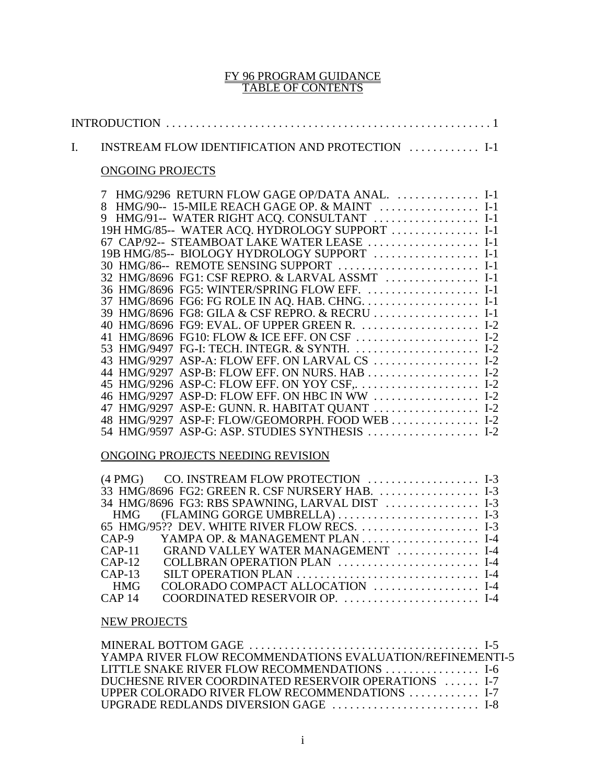#### FY 96 PROGRAM GUIDANCE TABLE OF CONTENTS

| INSTREAM FLOW IDENTIFICATION AND PROTECTION  I-1<br>$\mathbf{I}$ .                                                                                                                                                                                                                                                                                                                                                                                                                                                                                                                                                                                                                                        |  |
|-----------------------------------------------------------------------------------------------------------------------------------------------------------------------------------------------------------------------------------------------------------------------------------------------------------------------------------------------------------------------------------------------------------------------------------------------------------------------------------------------------------------------------------------------------------------------------------------------------------------------------------------------------------------------------------------------------------|--|
| <b>ONGOING PROJECTS</b>                                                                                                                                                                                                                                                                                                                                                                                                                                                                                                                                                                                                                                                                                   |  |
| HMG/9296 RETURN FLOW GAGE OP/DATA ANAL.  I-1<br>7<br>8 HMG/90-- 15-MILE REACH GAGE OP. & MAINT  I-1<br>9 HMG/91-- WATER RIGHT ACQ. CONSULTANT  I-1<br>19H HMG/85-- WATER ACQ. HYDROLOGY SUPPORT  I-1<br>67 CAP/92-- STEAMBOAT LAKE WATER LEASE  I-1<br>19B HMG/85-- BIOLOGY HYDROLOGY SUPPORT  I-1<br>30 HMG/86-- REMOTE SENSING SUPPORT  I-1<br>32 HMG/8696 FG1: CSF REPRO. & LARVAL ASSMT  I-1<br>36 HMG/8696 FG5: WINTER/SPRING FLOW EFF.  I-1<br>39 HMG/8696 FG8: GILA & CSF REPRO. & RECRU  I-1<br>40 HMG/8696 FG9: EVAL. OF UPPER GREEN R.  I-2<br>41 HMG/8696 FG10: FLOW & ICE EFF. ON CSF  I-2<br>53 HMG/9497 FG-I: TECH. INTEGR. & SYNTH.  I-2<br>43 HMG/9297 ASP-A: FLOW EFF. ON LARVAL CS  I-2 |  |
| 45 HMG/9296 ASP-C: FLOW EFF. ON YOY CSF,  I-2<br>46 HMG/9297 ASP-D: FLOW EFF. ON HBC IN WW  I-2<br>47 HMG/9297 ASP-E: GUNN. R. HABITAT QUANT  I-2<br>48 HMG/9297 ASP-F: FLOW/GEOMORPH. FOOD WEB  I-2<br>54 HMG/9597 ASP-G: ASP. STUDIES SYNTHESIS  I-2                                                                                                                                                                                                                                                                                                                                                                                                                                                    |  |
| ONGOING PROJECTS NEEDING REVISION                                                                                                                                                                                                                                                                                                                                                                                                                                                                                                                                                                                                                                                                         |  |
| CO. INSTREAM FLOW PROTECTION  I-3<br>$(4$ PMG $)$<br>33 HMG/8696 FG2: GREEN R. CSF NURSERY HAB.  I-3<br>34 HMG/8696 FG3: RBS SPAWNING, LARVAL DIST  I-3<br>(FLAMING GORGE UMBRELLA)  I-3<br><b>HMG</b><br>65 HMG/95?? DEV. WHITE RIVER FLOW RECS.  I-3<br>$CAP-9$<br>GRAND VALLEY WATER MANAGEMENT  I-4<br>$CAP-11$<br>COLLBRAN OPERATION PLAN  I-4<br>$CAP-12$<br>$CAP-13$<br>COLORADO COMPACT ALLOCATION  I-4<br><b>HMG</b><br>COORDINATED RESERVOIR OP.  I-4<br>CAP <sub>14</sub>                                                                                                                                                                                                                      |  |
| <b>NEW PROJECTS</b>                                                                                                                                                                                                                                                                                                                                                                                                                                                                                                                                                                                                                                                                                       |  |

| YAMPA RIVER FLOW RECOMMENDATIONS EVALUATION/REFINEMENTI-5                    |  |
|------------------------------------------------------------------------------|--|
| LITTLE SNAKE RIVER FLOW RECOMMENDATIONS $\ldots \ldots \ldots \ldots \ldots$ |  |
| DUCHESNE RIVER COORDINATED RESERVOIR OPERATIONS  I-7                         |  |
| UPPER COLORADO RIVER FLOW RECOMMENDATIONS  I-7                               |  |
|                                                                              |  |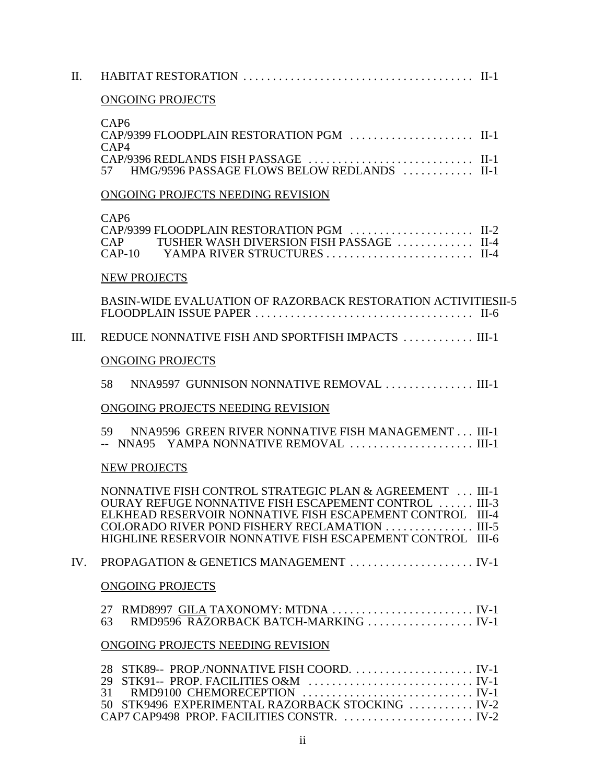| II.  |                                                                                                                                                                                                                                                                                                |
|------|------------------------------------------------------------------------------------------------------------------------------------------------------------------------------------------------------------------------------------------------------------------------------------------------|
|      | <b>ONGOING PROJECTS</b>                                                                                                                                                                                                                                                                        |
|      | CAP <sub>6</sub><br>CAP/9399 FLOODPLAIN RESTORATION PGM  II-1<br>CAP4<br>57 HMG/9596 PASSAGE FLOWS BELOW REDLANDS  II-1                                                                                                                                                                        |
|      | ONGOING PROJECTS NEEDING REVISION                                                                                                                                                                                                                                                              |
|      | CAP <sub>6</sub><br>CAP/9399 FLOODPLAIN RESTORATION PGM  II-2<br>TUSHER WASH DIVERSION FISH PASSAGE  II-4<br>CAP                                                                                                                                                                               |
|      | NEW PROJECTS                                                                                                                                                                                                                                                                                   |
|      | <b>BASIN-WIDE EVALUATION OF RAZORBACK RESTORATION ACTIVITIESII-5</b>                                                                                                                                                                                                                           |
| III. | REDUCE NONNATIVE FISH AND SPORTFISH IMPACTS  III-1                                                                                                                                                                                                                                             |
|      | <b>ONGOING PROJECTS</b>                                                                                                                                                                                                                                                                        |
|      | NNA9597 GUNNISON NONNATIVE REMOVAL III-1<br>58                                                                                                                                                                                                                                                 |
|      | ONGOING PROJECTS NEEDING REVISION                                                                                                                                                                                                                                                              |
|      | 59 NNA9596 GREEN RIVER NONNATIVE FISH MANAGEMENT III-1<br>-- NNA95 YAMPA NONNATIVE REMOVAL  III-1                                                                                                                                                                                              |
|      | <b>NEW PROJECTS</b>                                                                                                                                                                                                                                                                            |
|      | NONNATIVE FISH CONTROL STRATEGIC PLAN & AGREEMENT  III-1<br>OURAY REFUGE NONNATIVE FISH ESCAPEMENT CONTROL  III-3<br>ELKHEAD RESERVOIR NONNATIVE FISH ESCAPEMENT CONTROL III-4<br>COLORADO RIVER POND FISHERY RECLAMATION  III-5<br>HIGHLINE RESERVOIR NONNATIVE FISH ESCAPEMENT CONTROL III-6 |
| IV.  | PROPAGATION & GENETICS MANAGEMENT  IV-1                                                                                                                                                                                                                                                        |
|      | <b>ONGOING PROJECTS</b>                                                                                                                                                                                                                                                                        |
|      | 27 RMD8997 GILA TAXONOMY: MTDNA  IV-1<br>RMD9596 RAZORBACK BATCH-MARKING  IV-1<br>63                                                                                                                                                                                                           |
|      | ONGOING PROJECTS NEEDING REVISION                                                                                                                                                                                                                                                              |
|      | 28 STK89-- PROP./NONNATIVE FISH COORD.  IV-1<br>50 STK9496 EXPERIMENTAL RAZORBACK STOCKING  IV-2<br>CAP7 CAP9498 PROP. FACILITIES CONSTR.  IV-2                                                                                                                                                |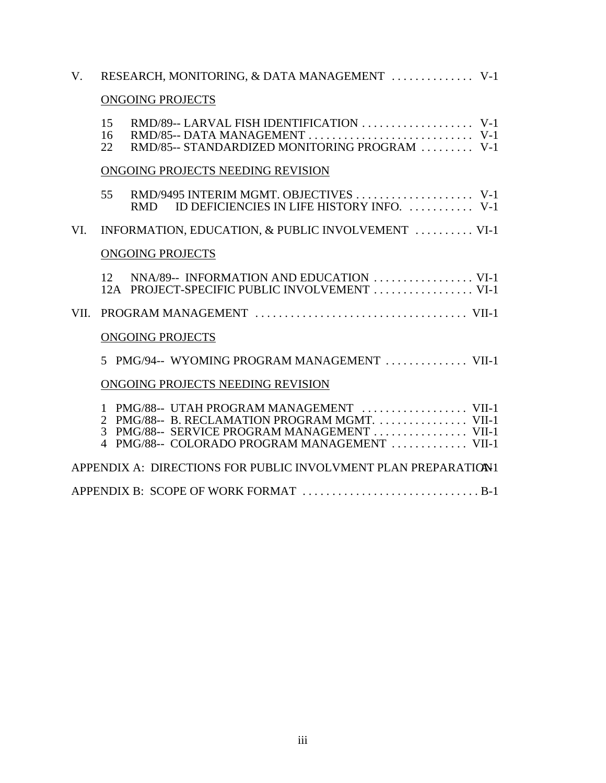| $V_{\cdot}$ | RESEARCH, MONITORING, & DATA MANAGEMENT  V-1                                                                                                                                                |
|-------------|---------------------------------------------------------------------------------------------------------------------------------------------------------------------------------------------|
|             | <b>ONGOING PROJECTS</b>                                                                                                                                                                     |
|             | 15<br>16<br>RMD/85-- STANDARDIZED MONITORING PROGRAM  V-1<br>22                                                                                                                             |
|             | ONGOING PROJECTS NEEDING REVISION                                                                                                                                                           |
|             | 55<br>ID DEFICIENCIES IN LIFE HISTORY INFO.  V-1<br><b>RMD</b>                                                                                                                              |
| VI.         | INFORMATION, EDUCATION, & PUBLIC INVOLVEMENT  VI-1                                                                                                                                          |
|             | <b>ONGOING PROJECTS</b>                                                                                                                                                                     |
|             | 12 NNA/89-- INFORMATION AND EDUCATION  VI-1<br>12A PROJECT-SPECIFIC PUBLIC INVOLVEMENT  VI-1                                                                                                |
| VII.        |                                                                                                                                                                                             |
|             | <b>ONGOING PROJECTS</b>                                                                                                                                                                     |
|             | 5 PMG/94-- WYOMING PROGRAM MANAGEMENT  VII-1                                                                                                                                                |
|             | ONGOING PROJECTS NEEDING REVISION                                                                                                                                                           |
|             | 1 PMG/88-- UTAH PROGRAM MANAGEMENT  VII-1<br>2 PMG/88-- B. RECLAMATION PROGRAM MGMT. VII-1<br>3 PMG/88-- SERVICE PROGRAM MANAGEMENT  VII-1<br>4 PMG/88-- COLORADO PROGRAM MANAGEMENT  VII-1 |
|             | APPENDIX A: DIRECTIONS FOR PUBLIC INVOLVMENT PLAN PREPARATION1                                                                                                                              |
|             |                                                                                                                                                                                             |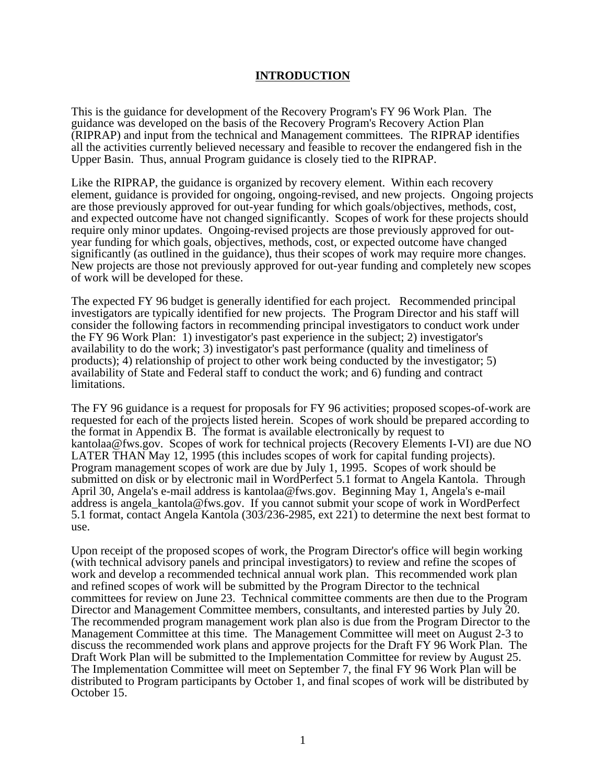## **INTRODUCTION**

This is the guidance for development of the Recovery Program's FY 96 Work Plan. The guidance was developed on the basis of the Recovery Program's Recovery Action Plan (RIPRAP) and input from the technical and Management committees. The RIPRAP identifies all the activities currently believed necessary and feasible to recover the endangered fish in the Upper Basin. Thus, annual Program guidance is closely tied to the RIPRAP.

Like the RIPRAP, the guidance is organized by recovery element. Within each recovery element, guidance is provided for ongoing, ongoing-revised, and new projects. Ongoing projects are those previously approved for out-year funding for which goals/objectives, methods, cost, and expected outcome have not changed significantly. Scopes of work for these projects should require only minor updates. Ongoing-revised projects are those previously approved for outyear funding for which goals, objectives, methods, cost, or expected outcome have changed significantly (as outlined in the guidance), thus their scopes of work may require more changes. New projects are those not previously approved for out-year funding and completely new scopes of work will be developed for these.

The expected FY 96 budget is generally identified for each project. Recommended principal investigators are typically identified for new projects. The Program Director and his staff will consider the following factors in recommending principal investigators to conduct work under the FY 96 Work Plan: 1) investigator's past experience in the subject; 2) investigator's availability to do the work; 3) investigator's past performance (quality and timeliness of products); 4) relationship of project to other work being conducted by the investigator; 5) availability of State and Federal staff to conduct the work; and 6) funding and contract limitations.

The FY 96 guidance is a request for proposals for FY 96 activities; proposed scopes-of-work are requested for each of the projects listed herein. Scopes of work should be prepared according to the format in Appendix B. The format is available electronically by request to kantolaa@fws.gov. Scopes of work for technical projects (Recovery Elements I-VI) are due NO LATER THAN May 12, 1995 (this includes scopes of work for capital funding projects). Program management scopes of work are due by July 1, 1995. Scopes of work should be submitted on disk or by electronic mail in WordPerfect 5.1 format to Angela Kantola. Through April 30, Angela's e-mail address is kantolaa@fws.gov. Beginning May 1, Angela's e-mail address is angela\_kantola@fws.gov. If you cannot submit your scope of work in WordPerfect 5.1 format, contact Angela Kantola (303/236-2985, ext 221) to determine the next best format to use.

Upon receipt of the proposed scopes of work, the Program Director's office will begin working (with technical advisory panels and principal investigators) to review and refine the scopes of work and develop a recommended technical annual work plan. This recommended work plan and refined scopes of work will be submitted by the Program Director to the technical committees for review on June 23. Technical committee comments are then due to the Program Director and Management Committee members, consultants, and interested parties by July 20. The recommended program management work plan also is due from the Program Director to the Management Committee at this time. The Management Committee will meet on August 2-3 to discuss the recommended work plans and approve projects for the Draft FY 96 Work Plan. The Draft Work Plan will be submitted to the Implementation Committee for review by August 25. The Implementation Committee will meet on September 7, the final FY 96 Work Plan will be distributed to Program participants by October 1, and final scopes of work will be distributed by October 15.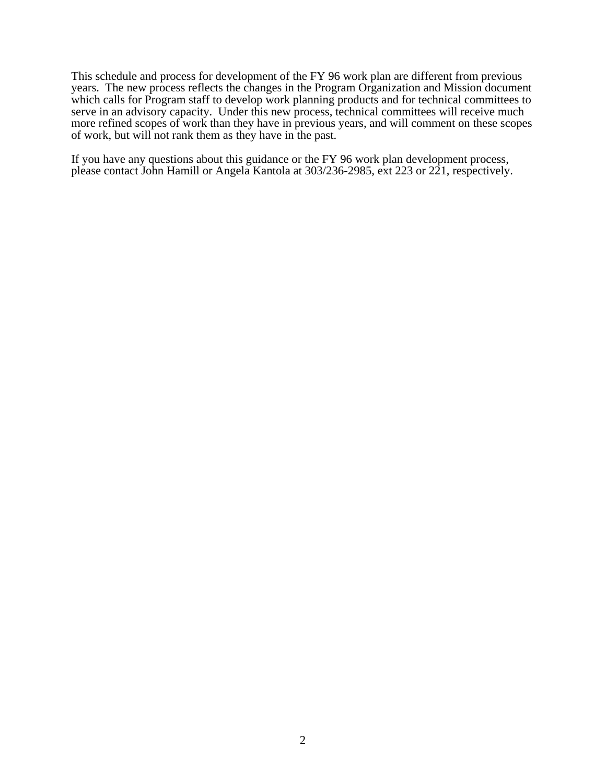This schedule and process for development of the FY 96 work plan are different from previous years. The new process reflects the changes in the Program Organization and Mission document which calls for Program staff to develop work planning products and for technical committees to serve in an advisory capacity. Under this new process, technical committees will receive much more refined scopes of work than they have in previous years, and will comment on these scopes of work, but will not rank them as they have in the past.

If you have any questions about this guidance or the FY 96 work plan development process, please contact John Hamill or Angela Kantola at 303/236-2985, ext 223 or 221, respectively.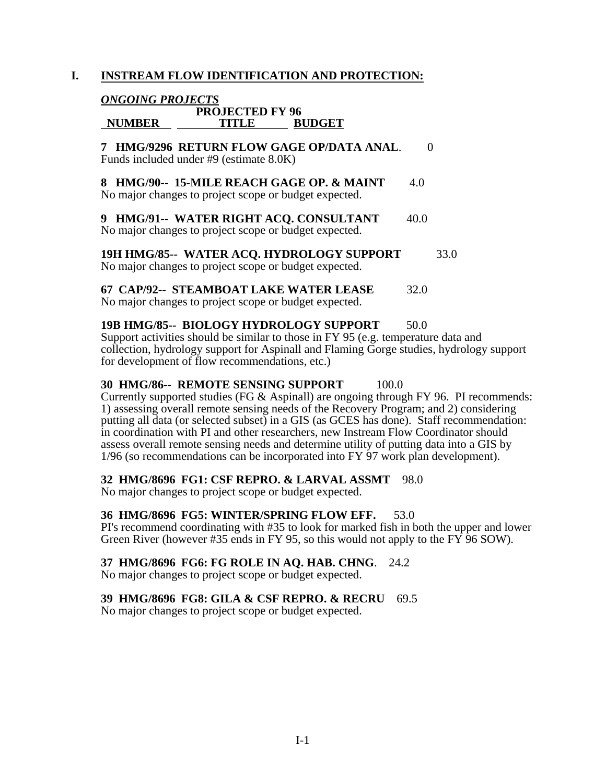# **I. INSTREAM FLOW IDENTIFICATION AND PROTECTION:**

# *ONGOING PROJECTS*

# **PROJECTED FY 96 NUMBER TITLE BUDGET**

**7 HMG/9296 RETURN FLOW GAGE OP/DATA ANAL**. 0 Funds included under #9 (estimate 8.0K)

**8 HMG/90-- 15-MILE REACH GAGE OP. & MAINT** 4.0 No major changes to project scope or budget expected.

**9 HMG/91-- WATER RIGHT ACO. CONSULTANT** 40.0 No major changes to project scope or budget expected.

**19H HMG/85-- WATER ACQ. HYDROLOGY SUPPORT** 33.0 No major changes to project scope or budget expected.

**67 CAP/92-- STEAMBOAT LAKE WATER LEASE** 32.0 No major changes to project scope or budget expected.

**19B HMG/85-- BIOLOGY HYDROLOGY SUPPORT** 50.0 Support activities should be similar to those in FY 95 (e.g. temperature data and collection, hydrology support for Aspinall and Flaming Gorge studies, hydrology support for development of flow recommendations, etc.)

### **30 HMG/86-- REMOTE SENSING SUPPORT** 100.0

Currently supported studies (FG & Aspinall) are ongoing through FY 96. PI recommends: 1) assessing overall remote sensing needs of the Recovery Program; and 2) considering putting all data (or selected subset) in a GIS (as GCES has done). Staff recommendation: in coordination with PI and other researchers, new Instream Flow Coordinator should assess overall remote sensing needs and determine utility of putting data into a GIS by 1/96 (so recommendations can be incorporated into FY 97 work plan development).

#### **32 HMG/8696 FG1: CSF REPRO. & LARVAL ASSMT** 98.0

No major changes to project scope or budget expected.

#### **36 HMG/8696 FG5: WINTER/SPRING FLOW EFF.** 53.0

PI's recommend coordinating with #35 to look for marked fish in both the upper and lower Green River (however #35 ends in FY 95, so this would not apply to the FY  $96$  SOW).

#### **37 HMG/8696 FG6: FG ROLE IN AQ. HAB. CHNG**. 24.2

No major changes to project scope or budget expected.

#### **39 HMG/8696 FG8: GILA & CSF REPRO. & RECRU** 69.5

No major changes to project scope or budget expected.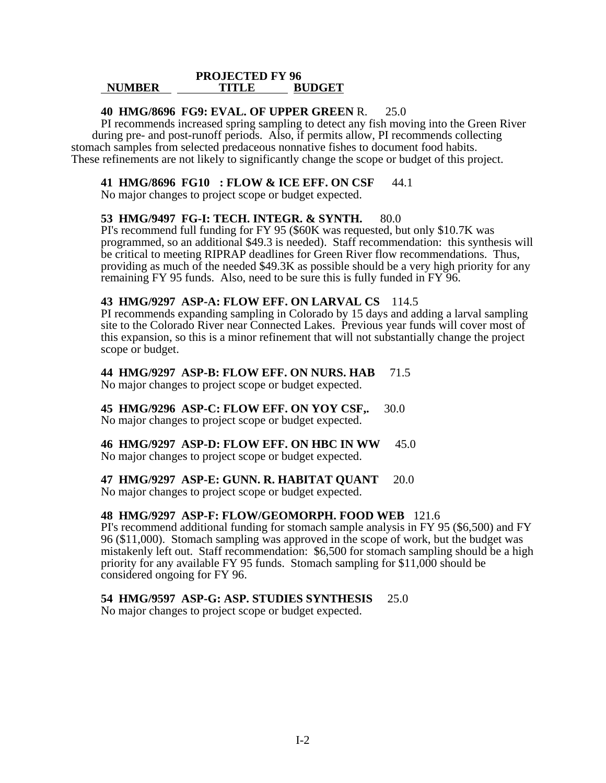#### **PROJECTED FY 96 NUMBER TITLE BUDGET**

### **40 HMG/8696 FG9: EVAL. OF UPPER GREEN** R. 25.0

 PI recommends increased spring sampling to detect any fish moving into the Green River during pre- and post-runoff periods. Also, if permits allow, PI recommends collecting stomach samples from selected predaceous nonnative fishes to document food habits. These refinements are not likely to significantly change the scope or budget of this project.

#### **41 HMG/8696 FG10 : FLOW & ICE EFF. ON CSF** 44.1

No major changes to project scope or budget expected.

#### **53 HMG/9497 FG-I: TECH. INTEGR. & SYNTH.** 80.0

PI's recommend full funding for FY 95 (\$60K was requested, but only \$10.7K was programmed, so an additional \$49.3 is needed). Staff recommendation: this synthesis will be critical to meeting RIPRAP deadlines for Green River flow recommendations. Thus, providing as much of the needed \$49.3K as possible should be a very high priority for any remaining FY 95 funds. Also, need to be sure this is fully funded in FY 96.

### **43 HMG/9297 ASP-A: FLOW EFF. ON LARVAL CS** 114.5

PI recommends expanding sampling in Colorado by 15 days and adding a larval sampling site to the Colorado River near Connected Lakes. Previous year funds will cover most of this expansion, so this is a minor refinement that will not substantially change the project scope or budget.

### **44 HMG/9297 ASP-B: FLOW EFF. ON NURS. HAB** 71.5

No major changes to project scope or budget expected.

**45 HMG/9296 ASP-C: FLOW EFF. ON YOY CSF,.** 30.0 No major changes to project scope or budget expected.

#### **46 HMG/9297 ASP-D: FLOW EFF. ON HBC IN WW** 45.0 No major changes to project scope or budget expected.

#### **47 HMG/9297 ASP-E: GUNN. R. HABITAT QUANT** 20.0

No major changes to project scope or budget expected.

#### **48 HMG/9297 ASP-F: FLOW/GEOMORPH. FOOD WEB** 121.6

PI's recommend additional funding for stomach sample analysis in FY 95 (\$6,500) and FY 96 (\$11,000). Stomach sampling was approved in the scope of work, but the budget was mistakenly left out. Staff recommendation: \$6,500 for stomach sampling should be a high priority for any available FY 95 funds. Stomach sampling for \$11,000 should be considered ongoing for FY 96.

#### **54 HMG/9597 ASP-G: ASP. STUDIES SYNTHESIS** 25.0

No major changes to project scope or budget expected.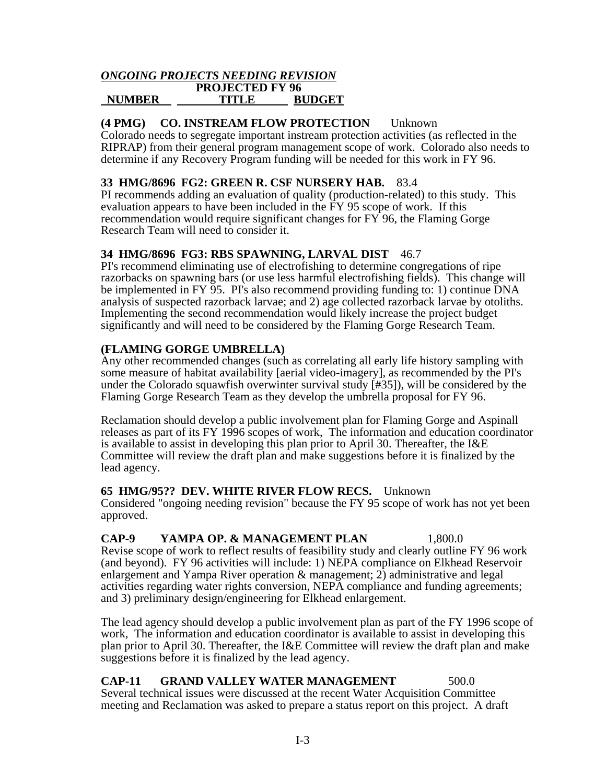#### *ONGOING PROJECTS NEEDING REVISION*  **PROJECTED FY 96 NUMBER TITLE BUDGET**

## **(4 PMG) CO. INSTREAM FLOW PROTECTION** Unknown

Colorado needs to segregate important instream protection activities (as reflected in the RIPRAP) from their general program management scope of work. Colorado also needs to determine if any Recovery Program funding will be needed for this work in FY 96.

## **33 HMG/8696 FG2: GREEN R. CSF NURSERY HAB.** 83.4

PI recommends adding an evaluation of quality (production-related) to this study. This evaluation appears to have been included in the FY 95 scope of work. If this recommendation would require significant changes for FY 96, the Flaming Gorge Research Team will need to consider it.

## **34 HMG/8696 FG3: RBS SPAWNING, LARVAL DIST** 46.7

PI's recommend eliminating use of electrofishing to determine congregations of ripe razorbacks on spawning bars (or use less harmful electrofishing fields). This change will be implemented in FY 95. PI's also recommend providing funding to: 1) continue DNA analysis of suspected razorback larvae; and 2) age collected razorback larvae by otoliths. Implementing the second recommendation would likely increase the project budget significantly and will need to be considered by the Flaming Gorge Research Team.

## **(FLAMING GORGE UMBRELLA)**

Any other recommended changes (such as correlating all early life history sampling with some measure of habitat availability [aerial video-imagery], as recommended by the PI's under the Colorado squawfish overwinter survival study [#35]), will be considered by the Flaming Gorge Research Team as they develop the umbrella proposal for FY 96.

Reclamation should develop a public involvement plan for Flaming Gorge and Aspinall releases as part of its FY 1996 scopes of work, The information and education coordinator is available to assist in developing this plan prior to April 30. Thereafter, the I&E Committee will review the draft plan and make suggestions before it is finalized by the lead agency.

#### **65 HMG/95?? DEV. WHITE RIVER FLOW RECS.** Unknown

Considered "ongoing needing revision" because the FY 95 scope of work has not yet been approved.

**CAP-9 YAMPA OP. & MANAGEMENT PLAN** 1,800.0 Revise scope of work to reflect results of feasibility study and clearly outline FY 96 work (and beyond). FY 96 activities will include: 1) NEPA compliance on Elkhead Reservoir enlargement and Yampa River operation & management; 2) administrative and legal activities regarding water rights conversion, NEPA compliance and funding agreements; and 3) preliminary design/engineering for Elkhead enlargement.

The lead agency should develop a public involvement plan as part of the FY 1996 scope of work, The information and education coordinator is available to assist in developing this plan prior to April 30. Thereafter, the I&E Committee will review the draft plan and make suggestions before it is finalized by the lead agency.

**CAP-11 GRAND VALLEY WATER MANAGEMENT** 500.0 Several technical issues were discussed at the recent Water Acquisition Committee meeting and Reclamation was asked to prepare a status report on this project. A draft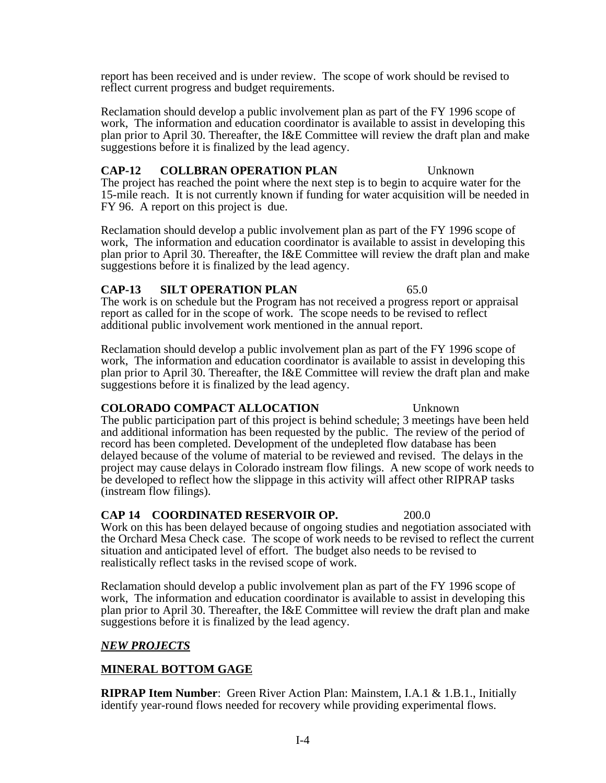report has been received and is under review. The scope of work should be revised to reflect current progress and budget requirements.

Reclamation should develop a public involvement plan as part of the FY 1996 scope of work, The information and education coordinator is available to assist in developing this plan prior to April 30. Thereafter, the I&E Committee will review the draft plan and make suggestions before it is finalized by the lead agency.

# **CAP-12 COLLBRAN OPERATION PLAN** Unknown

The project has reached the point where the next step is to begin to acquire water for the 15-mile reach. It is not currently known if funding for water acquisition will be needed in FY 96. A report on this project is due.

Reclamation should develop a public involvement plan as part of the FY 1996 scope of work, The information and education coordinator is available to assist in developing this plan prior to April 30. Thereafter, the I&E Committee will review the draft plan and make suggestions before it is finalized by the lead agency.

## **CAP-13 SILT OPERATION PLAN** 65.0

The work is on schedule but the Program has not received a progress report or appraisal report as called for in the scope of work. The scope needs to be revised to reflect additional public involvement work mentioned in the annual report.

Reclamation should develop a public involvement plan as part of the FY 1996 scope of work, The information and education coordinator is available to assist in developing this plan prior to April 30. Thereafter, the I&E Committee will review the draft plan and make suggestions before it is finalized by the lead agency.

## **COLORADO COMPACT ALLOCATION** Unknown

The public participation part of this project is behind schedule; 3 meetings have been held and additional information has been requested by the public. The review of the period of record has been completed. Development of the undepleted flow database has been delayed because of the volume of material to be reviewed and revised. The delays in the project may cause delays in Colorado instream flow filings. A new scope of work needs to be developed to reflect how the slippage in this activity will affect other RIPRAP tasks (instream flow filings).

## **CAP 14 COORDINATED RESERVOIR OP.** 200.0

Work on this has been delayed because of ongoing studies and negotiation associated with the Orchard Mesa Check case. The scope of work needs to be revised to reflect the current situation and anticipated level of effort. The budget also needs to be revised to realistically reflect tasks in the revised scope of work.

Reclamation should develop a public involvement plan as part of the FY 1996 scope of work, The information and education coordinator is available to assist in developing this plan prior to April 30. Thereafter, the I&E Committee will review the draft plan and make suggestions before it is finalized by the lead agency.

## *NEW PROJECTS*

# **MINERAL BOTTOM GAGE**

**RIPRAP Item Number**: Green River Action Plan: Mainstem, I.A.1 & 1.B.1., Initially identify year-round flows needed for recovery while providing experimental flows.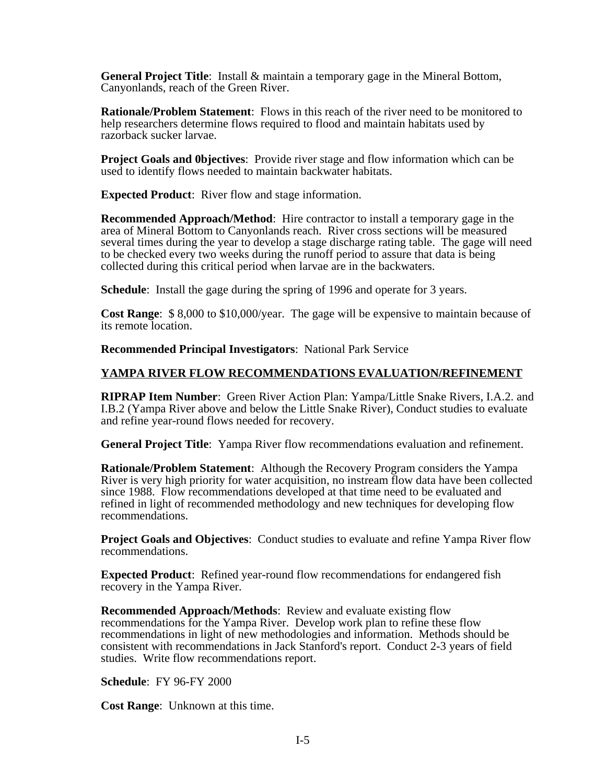**General Project Title**: Install & maintain a temporary gage in the Mineral Bottom, Canyonlands, reach of the Green River.

**Rationale/Problem Statement**: Flows in this reach of the river need to be monitored to help researchers determine flows required to flood and maintain habitats used by razorback sucker larvae.

**Project Goals and 0bjectives**: Provide river stage and flow information which can be used to identify flows needed to maintain backwater habitats.

**Expected Product**: River flow and stage information.

**Recommended Approach/Method**: Hire contractor to install a temporary gage in the area of Mineral Bottom to Canyonlands reach. River cross sections will be measured several times during the year to develop a stage discharge rating table. The gage will need to be checked every two weeks during the runoff period to assure that data is being collected during this critical period when larvae are in the backwaters.

**Schedule**: Install the gage during the spring of 1996 and operate for 3 years.

**Cost Range**: \$ 8,000 to \$10,000/year. The gage will be expensive to maintain because of its remote location.

**Recommended Principal Investigators**: National Park Service

# **YAMPA RIVER FLOW RECOMMENDATIONS EVALUATION/REFINEMENT**

**RIPRAP Item Number**: Green River Action Plan: Yampa/Little Snake Rivers, I.A.2. and I.B.2 (Yampa River above and below the Little Snake River), Conduct studies to evaluate and refine year-round flows needed for recovery.

**General Project Title**: Yampa River flow recommendations evaluation and refinement.

**Rationale/Problem Statement**: Although the Recovery Program considers the Yampa River is very high priority for water acquisition, no instream flow data have been collected since 1988. Flow recommendations developed at that time need to be evaluated and refined in light of recommended methodology and new techniques for developing flow recommendations.

**Project Goals and Objectives**: Conduct studies to evaluate and refine Yampa River flow recommendations.

**Expected Product**: Refined year-round flow recommendations for endangered fish recovery in the Yampa River.

**Recommended Approach/Methods**: Review and evaluate existing flow recommendations for the Yampa River. Develop work plan to refine these flow recommendations in light of new methodologies and information. Methods should be consistent with recommendations in Jack Stanford's report. Conduct 2-3 years of field studies. Write flow recommendations report.

**Schedule**: FY 96-FY 2000

**Cost Range**: Unknown at this time.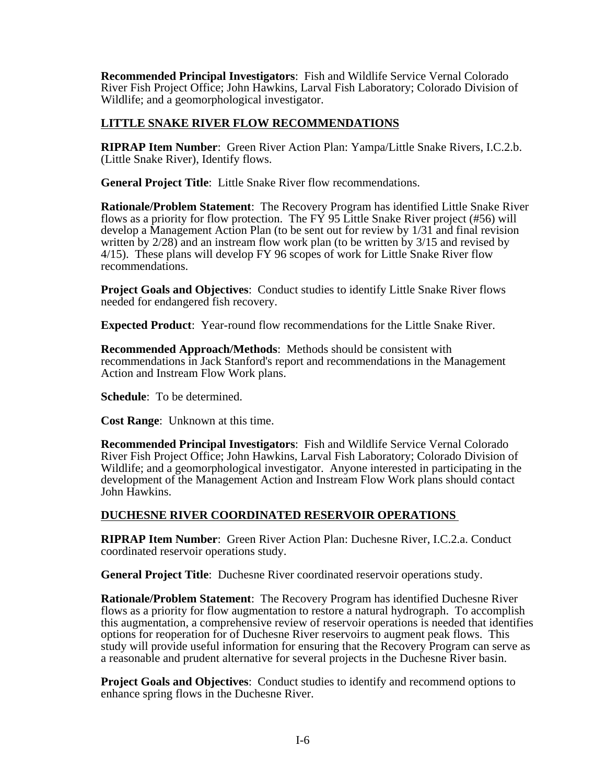**Recommended Principal Investigators**: Fish and Wildlife Service Vernal Colorado River Fish Project Office; John Hawkins, Larval Fish Laboratory; Colorado Division of Wildlife; and a geomorphological investigator.

## **LITTLE SNAKE RIVER FLOW RECOMMENDATIONS**

**RIPRAP Item Number**: Green River Action Plan: Yampa/Little Snake Rivers, I.C.2.b. (Little Snake River), Identify flows.

**General Project Title**: Little Snake River flow recommendations.

**Rationale/Problem Statement**: The Recovery Program has identified Little Snake River flows as a priority for flow protection. The  $\overrightarrow{FY}$  95 Little Snake River project (#56) will develop a Management Action Plan (to be sent out for review by 1/31 and final revision written by 2/28) and an instream flow work plan (to be written by 3/15 and revised by 4/15). These plans will develop FY 96 scopes of work for Little Snake River flow recommendations.

**Project Goals and Objectives**: Conduct studies to identify Little Snake River flows needed for endangered fish recovery.

**Expected Product**: Year-round flow recommendations for the Little Snake River.

**Recommended Approach/Methods**: Methods should be consistent with recommendations in Jack Stanford's report and recommendations in the Management Action and Instream Flow Work plans.

**Schedule**: To be determined.

**Cost Range**: Unknown at this time.

**Recommended Principal Investigators**: Fish and Wildlife Service Vernal Colorado River Fish Project Office; John Hawkins, Larval Fish Laboratory; Colorado Division of Wildlife; and a geomorphological investigator. Anyone interested in participating in the development of the Management Action and Instream Flow Work plans should contact John Hawkins.

## **DUCHESNE RIVER COORDINATED RESERVOIR OPERATIONS**

**RIPRAP Item Number**: Green River Action Plan: Duchesne River, I.C.2.a. Conduct coordinated reservoir operations study.

**General Project Title**: Duchesne River coordinated reservoir operations study.

**Rationale/Problem Statement**: The Recovery Program has identified Duchesne River flows as a priority for flow augmentation to restore a natural hydrograph. To accomplish this augmentation, a comprehensive review of reservoir operations is needed that identifies options for reoperation for of Duchesne River reservoirs to augment peak flows. This study will provide useful information for ensuring that the Recovery Program can serve as a reasonable and prudent alternative for several projects in the Duchesne River basin.

**Project Goals and Objectives**: Conduct studies to identify and recommend options to enhance spring flows in the Duchesne River.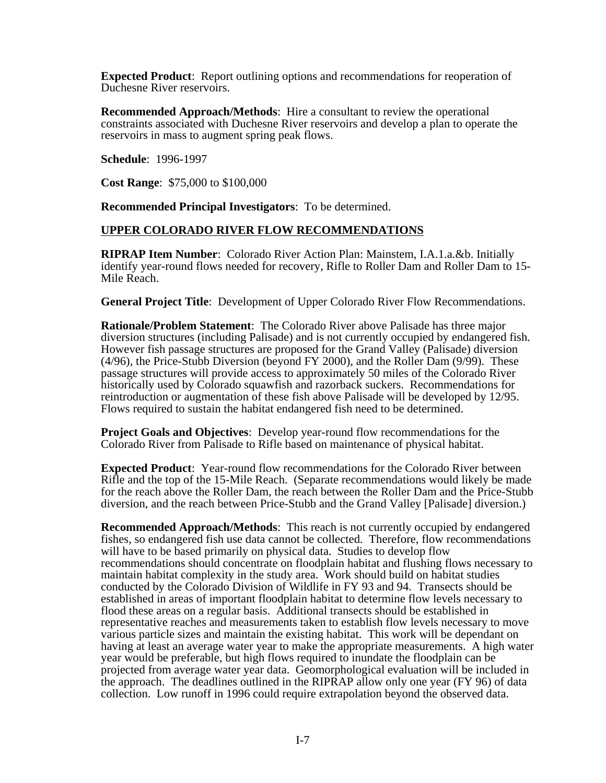**Expected Product**: Report outlining options and recommendations for reoperation of Duchesne River reservoirs.

**Recommended Approach/Methods**: Hire a consultant to review the operational constraints associated with Duchesne River reservoirs and develop a plan to operate the reservoirs in mass to augment spring peak flows.

**Schedule**: 1996-1997

**Cost Range**: \$75,000 to \$100,000

**Recommended Principal Investigators**: To be determined.

#### **UPPER COLORADO RIVER FLOW RECOMMENDATIONS**

**RIPRAP Item Number**: Colorado River Action Plan: Mainstem, I.A.1.a.&b. Initially identify year-round flows needed for recovery, Rifle to Roller Dam and Roller Dam to 15- Mile Reach.

**General Project Title**: Development of Upper Colorado River Flow Recommendations.

**Rationale/Problem Statement**: The Colorado River above Palisade has three major diversion structures (including Palisade) and is not currently occupied by endangered fish. However fish passage structures are proposed for the Grand Valley (Palisade) diversion (4/96), the Price-Stubb Diversion (beyond FY 2000), and the Roller Dam (9/99). These passage structures will provide access to approximately 50 miles of the Colorado River historically used by Colorado squawfish and razorback suckers. Recommendations for reintroduction or augmentation of these fish above Palisade will be developed by 12/95. Flows required to sustain the habitat endangered fish need to be determined.

**Project Goals and Objectives**: Develop year-round flow recommendations for the Colorado River from Palisade to Rifle based on maintenance of physical habitat.

**Expected Product**: Year-round flow recommendations for the Colorado River between Rifle and the top of the 15-Mile Reach. (Separate recommendations would likely be made for the reach above the Roller Dam, the reach between the Roller Dam and the Price-Stubb diversion, and the reach between Price-Stubb and the Grand Valley [Palisade] diversion.)

**Recommended Approach/Methods**: This reach is not currently occupied by endangered fishes, so endangered fish use data cannot be collected. Therefore, flow recommendations will have to be based primarily on physical data. Studies to develop flow recommendations should concentrate on floodplain habitat and flushing flows necessary to maintain habitat complexity in the study area. Work should build on habitat studies conducted by the Colorado Division of Wildlife in FY 93 and 94. Transects should be established in areas of important floodplain habitat to determine flow levels necessary to flood these areas on a regular basis. Additional transects should be established in representative reaches and measurements taken to establish flow levels necessary to move various particle sizes and maintain the existing habitat. This work will be dependant on having at least an average water year to make the appropriate measurements. A high water year would be preferable, but high flows required to inundate the floodplain can be projected from average water year data. Geomorphological evaluation will be included in the approach. The deadlines outlined in the RIPRAP allow only one year (FY 96) of data collection. Low runoff in 1996 could require extrapolation beyond the observed data.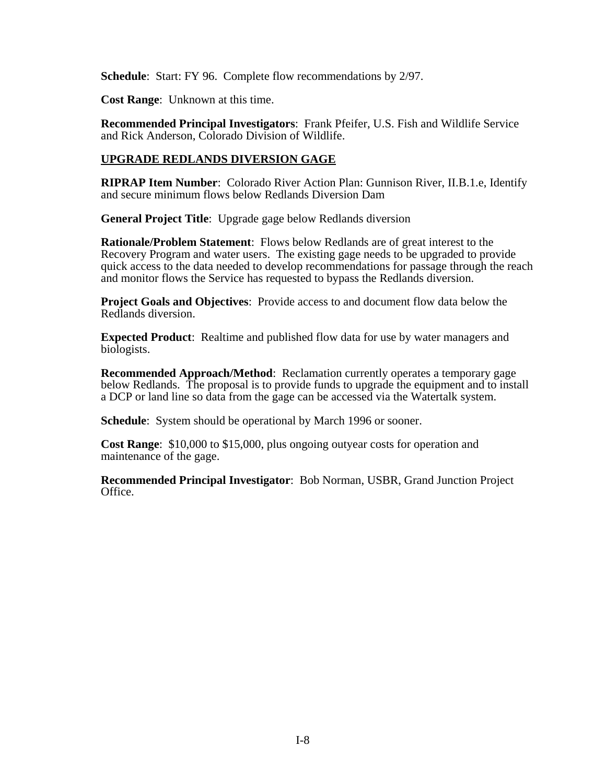**Schedule**: Start: FY 96. Complete flow recommendations by 2/97.

**Cost Range**: Unknown at this time.

**Recommended Principal Investigators**: Frank Pfeifer, U.S. Fish and Wildlife Service and Rick Anderson, Colorado Division of Wildlife.

# **UPGRADE REDLANDS DIVERSION GAGE**

**RIPRAP Item Number**: Colorado River Action Plan: Gunnison River, II.B.1.e, Identify and secure minimum flows below Redlands Diversion Dam

**General Project Title**: Upgrade gage below Redlands diversion

**Rationale/Problem Statement**: Flows below Redlands are of great interest to the Recovery Program and water users. The existing gage needs to be upgraded to provide quick access to the data needed to develop recommendations for passage through the reach and monitor flows the Service has requested to bypass the Redlands diversion.

**Project Goals and Objectives**: Provide access to and document flow data below the Redlands diversion.

**Expected Product**: Realtime and published flow data for use by water managers and biologists.

**Recommended Approach/Method**: Reclamation currently operates a temporary gage below Redlands. The proposal is to provide funds to upgrade the equipment and to install a DCP or land line so data from the gage can be accessed via the Watertalk system.

**Schedule**: System should be operational by March 1996 or sooner.

**Cost Range**: \$10,000 to \$15,000, plus ongoing outyear costs for operation and maintenance of the gage.

**Recommended Principal Investigator**: Bob Norman, USBR, Grand Junction Project Office.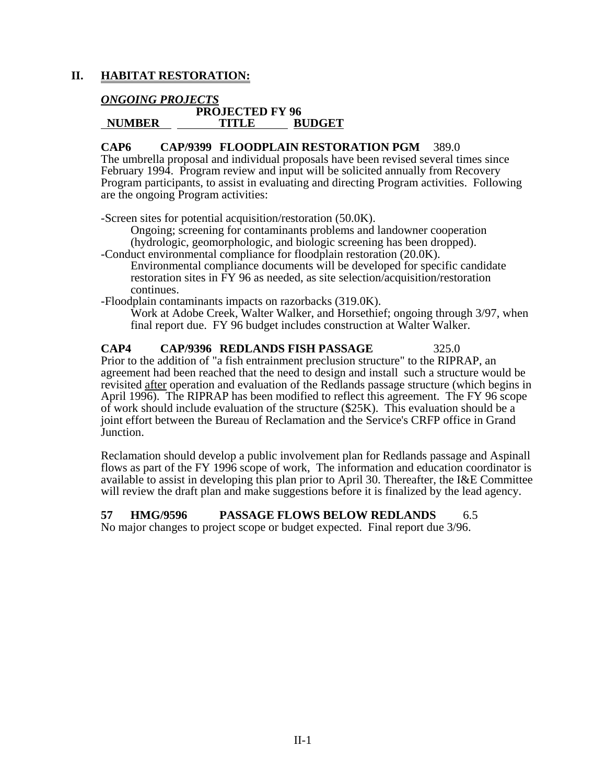# **II. HABITAT RESTORATION:**

# *ONGOING PROJECTS*

## **PROJECTED FY 96 NUMBER TITLE BUDGET**

# **CAP6 CAP/9399 FLOODPLAIN RESTORATION PGM** 389.0

The umbrella proposal and individual proposals have been revised several times since February 1994. Program review and input will be solicited annually from Recovery Program participants, to assist in evaluating and directing Program activities. Following are the ongoing Program activities:

-Screen sites for potential acquisition/restoration (50.0K).

Ongoing; screening for contaminants problems and landowner cooperation (hydrologic, geomorphologic, and biologic screening has been dropped).

-Conduct environmental compliance for floodplain restoration (20.0K). Environmental compliance documents will be developed for specific candidate restoration sites in FY 96 as needed, as site selection/acquisition/restoration continues.

-Floodplain contaminants impacts on razorbacks (319.0K).

Work at Adobe Creek, Walter Walker, and Horsethief; ongoing through 3/97, when final report due. FY 96 budget includes construction at Walter Walker.

# **CAP4 CAP/9396 REDLANDS FISH PASSAGE** 325.0

Prior to the addition of "a fish entrainment preclusion structure" to the RIPRAP, an agreement had been reached that the need to design and install such a structure would be revisited after operation and evaluation of the Redlands passage structure (which begins in April 1996). The RIPRAP has been modified to reflect this agreement. The FY 96 scope of work should include evaluation of the structure (\$25K). This evaluation should be a joint effort between the Bureau of Reclamation and the Service's CRFP office in Grand Junction.

Reclamation should develop a public involvement plan for Redlands passage and Aspinall flows as part of the FY 1996 scope of work, The information and education coordinator is available to assist in developing this plan prior to April 30. Thereafter, the I&E Committee will review the draft plan and make suggestions before it is finalized by the lead agency.

#### **57 HMG/9596 PASSAGE FLOWS BELOW REDLANDS** 6.5 No major changes to project scope or budget expected. Final report due 3/96.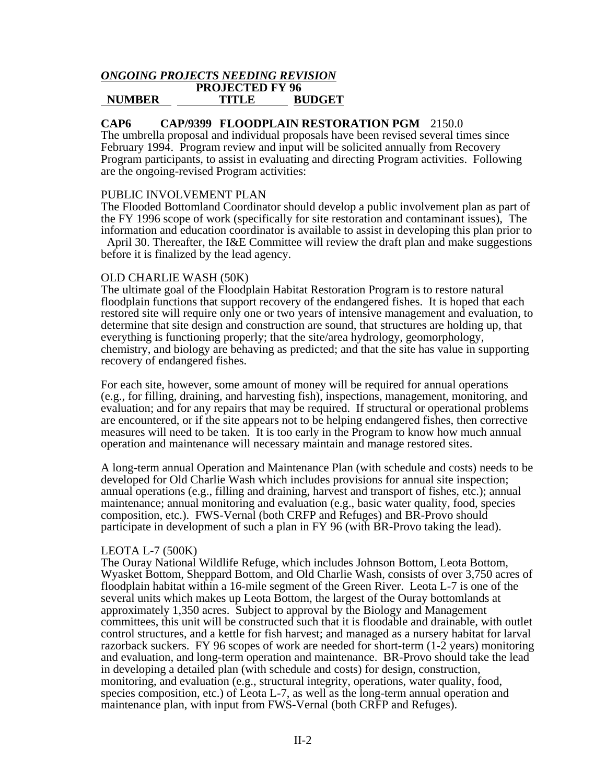#### *ONGOING PROJECTS NEEDING REVISION* **PROJECTED FY 96 NUMBER TITLE BUDGET**

### **CAP6 CAP/9399 FLOODPLAIN RESTORATION PGM** 2150.0

The umbrella proposal and individual proposals have been revised several times since February 1994. Program review and input will be solicited annually from Recovery Program participants, to assist in evaluating and directing Program activities. Following are the ongoing-revised Program activities:

#### PUBLIC INVOLVEMENT PLAN

The Flooded Bottomland Coordinator should develop a public involvement plan as part of the FY 1996 scope of work (specifically for site restoration and contaminant issues), The information and education coordinator is available to assist in developing this plan prior to

 April 30. Thereafter, the I&E Committee will review the draft plan and make suggestions before it is finalized by the lead agency.

#### OLD CHARLIE WASH (50K)

The ultimate goal of the Floodplain Habitat Restoration Program is to restore natural floodplain functions that support recovery of the endangered fishes. It is hoped that each restored site will require only one or two years of intensive management and evaluation, to determine that site design and construction are sound, that structures are holding up, that everything is functioning properly; that the site/area hydrology, geomorphology, chemistry, and biology are behaving as predicted; and that the site has value in supporting recovery of endangered fishes.

For each site, however, some amount of money will be required for annual operations (e.g., for filling, draining, and harvesting fish), inspections, management, monitoring, and evaluation; and for any repairs that may be required. If structural or operational problems are encountered, or if the site appears not to be helping endangered fishes, then corrective measures will need to be taken. It is too early in the Program to know how much annual operation and maintenance will necessary maintain and manage restored sites.

A long-term annual Operation and Maintenance Plan (with schedule and costs) needs to be developed for Old Charlie Wash which includes provisions for annual site inspection; annual operations (e.g., filling and draining, harvest and transport of fishes, etc.); annual maintenance; annual monitoring and evaluation (e.g., basic water quality, food, species composition, etc.). FWS-Vernal (both CRFP and Refuges) and BR-Provo should participate in development of such a plan in FY 96 (with BR-Provo taking the lead).

#### LEOTA L-7 (500K)

The Ouray National Wildlife Refuge, which includes Johnson Bottom, Leota Bottom, Wyasket Bottom, Sheppard Bottom, and Old Charlie Wash, consists of over 3,750 acres of floodplain habitat within a 16-mile segment of the Green River. Leota L-7 is one of the several units which makes up Leota Bottom, the largest of the Ouray bottomlands at approximately 1,350 acres. Subject to approval by the Biology and Management committees, this unit will be constructed such that it is floodable and drainable, with outlet control structures, and a kettle for fish harvest; and managed as a nursery habitat for larval razorback suckers. FY 96 scopes of work are needed for short-term (1-2 years) monitoring and evaluation, and long-term operation and maintenance. BR-Provo should take the lead in developing a detailed plan (with schedule and costs) for design, construction, monitoring, and evaluation (e.g., structural integrity, operations, water quality, food, species composition, etc.) of Leota L-7, as well as the long-term annual operation and maintenance plan, with input from FWS-Vernal (both CRFP and Refuges).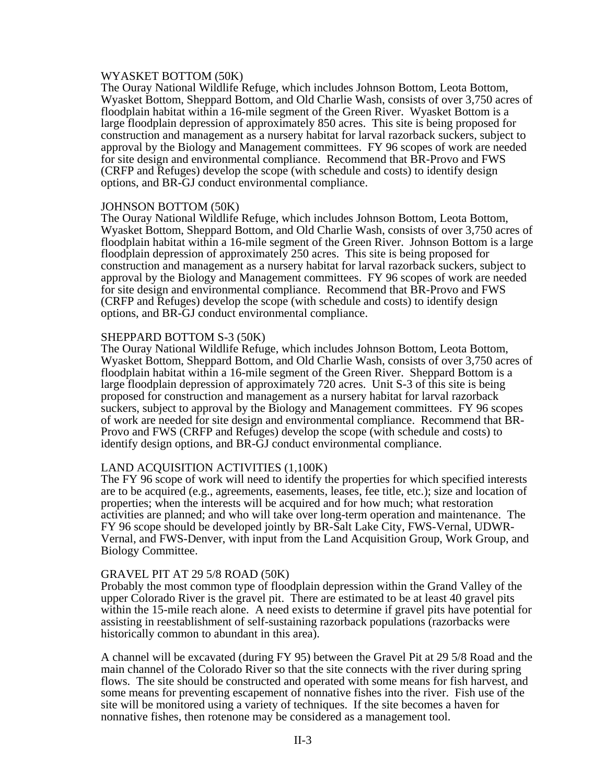#### WYASKET BOTTOM (50K)

The Ouray National Wildlife Refuge, which includes Johnson Bottom, Leota Bottom, Wyasket Bottom, Sheppard Bottom, and Old Charlie Wash, consists of over 3,750 acres of floodplain habitat within a 16-mile segment of the Green River. Wyasket Bottom is a large floodplain depression of approximately 850 acres. This site is being proposed for construction and management as a nursery habitat for larval razorback suckers, subject to approval by the Biology and Management committees. FY 96 scopes of work are needed for site design and environmental compliance. Recommend that BR-Provo and FWS (CRFP and Refuges) develop the scope (with schedule and costs) to identify design options, and BR-GJ conduct environmental compliance.

#### JOHNSON BOTTOM (50K)

The Ouray National Wildlife Refuge, which includes Johnson Bottom, Leota Bottom, Wyasket Bottom, Sheppard Bottom, and Old Charlie Wash, consists of over 3,750 acres of floodplain habitat within a 16-mile segment of the Green River. Johnson Bottom is a large floodplain depression of approximately 250 acres. This site is being proposed for construction and management as a nursery habitat for larval razorback suckers, subject to approval by the Biology and Management committees. FY 96 scopes of work are needed for site design and environmental compliance. Recommend that BR-Provo and FWS (CRFP and Refuges) develop the scope (with schedule and costs) to identify design options, and BR-GJ conduct environmental compliance.

### SHEPPARD BOTTOM S-3 (50K)

The Ouray National Wildlife Refuge, which includes Johnson Bottom, Leota Bottom, Wyasket Bottom, Sheppard Bottom, and Old Charlie Wash, consists of over 3,750 acres of floodplain habitat within a 16-mile segment of the Green River. Sheppard Bottom is a large floodplain depression of approximately 720 acres. Unit S-3 of this site is being proposed for construction and management as a nursery habitat for larval razorback suckers, subject to approval by the Biology and Management committees. FY 96 scopes of work are needed for site design and environmental compliance. Recommend that BR-Provo and FWS (CRFP and Refuges) develop the scope (with schedule and costs) to identify design options, and BR-GJ conduct environmental compliance.

## LAND ACQUISITION ACTIVITIES (1,100K)

The FY 96 scope of work will need to identify the properties for which specified interests are to be acquired (e.g., agreements, easements, leases, fee title, etc.); size and location of properties; when the interests will be acquired and for how much; what restoration activities are planned; and who will take over long-term operation and maintenance. The FY 96 scope should be developed jointly by BR-Salt Lake City, FWS-Vernal, UDWR-Vernal, and FWS-Denver, with input from the Land Acquisition Group, Work Group, and Biology Committee.

#### GRAVEL PIT AT 29 5/8 ROAD (50K)

Probably the most common type of floodplain depression within the Grand Valley of the upper Colorado River is the gravel pit. There are estimated to be at least 40 gravel pits within the 15-mile reach alone. A need exists to determine if gravel pits have potential for assisting in reestablishment of self-sustaining razorback populations (razorbacks were historically common to abundant in this area).

A channel will be excavated (during FY 95) between the Gravel Pit at 29 5/8 Road and the main channel of the Colorado River so that the site connects with the river during spring flows. The site should be constructed and operated with some means for fish harvest, and some means for preventing escapement of nonnative fishes into the river. Fish use of the site will be monitored using a variety of techniques. If the site becomes a haven for nonnative fishes, then rotenone may be considered as a management tool.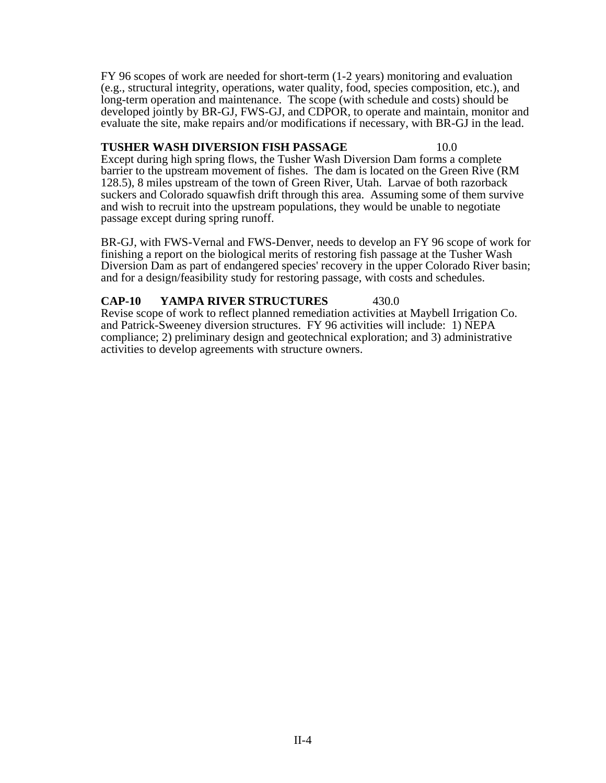FY 96 scopes of work are needed for short-term (1-2 years) monitoring and evaluation (e.g., structural integrity, operations, water quality, food, species composition, etc.), and long-term operation and maintenance. The scope (with schedule and costs) should be developed jointly by BR-GJ, FWS-GJ, and CDPOR, to operate and maintain, monitor and evaluate the site, make repairs and/or modifications if necessary, with BR-GJ in the lead.

# **TUSHER WASH DIVERSION FISH PASSAGE** 10.0

Except during high spring flows, the Tusher Wash Diversion Dam forms a complete barrier to the upstream movement of fishes. The dam is located on the Green Rive (RM 128.5), 8 miles upstream of the town of Green River, Utah. Larvae of both razorback suckers and Colorado squawfish drift through this area. Assuming some of them survive and wish to recruit into the upstream populations, they would be unable to negotiate passage except during spring runoff.

BR-GJ, with FWS-Vernal and FWS-Denver, needs to develop an FY 96 scope of work for finishing a report on the biological merits of restoring fish passage at the Tusher Wash Diversion Dam as part of endangered species' recovery in the upper Colorado River basin; and for a design/feasibility study for restoring passage, with costs and schedules.

# **CAP-10 YAMPA RIVER STRUCTURES** 430.0

Revise scope of work to reflect planned remediation activities at Maybell Irrigation Co. and Patrick-Sweeney diversion structures. FY 96 activities will include: 1) NEPA compliance; 2) preliminary design and geotechnical exploration; and 3) administrative activities to develop agreements with structure owners.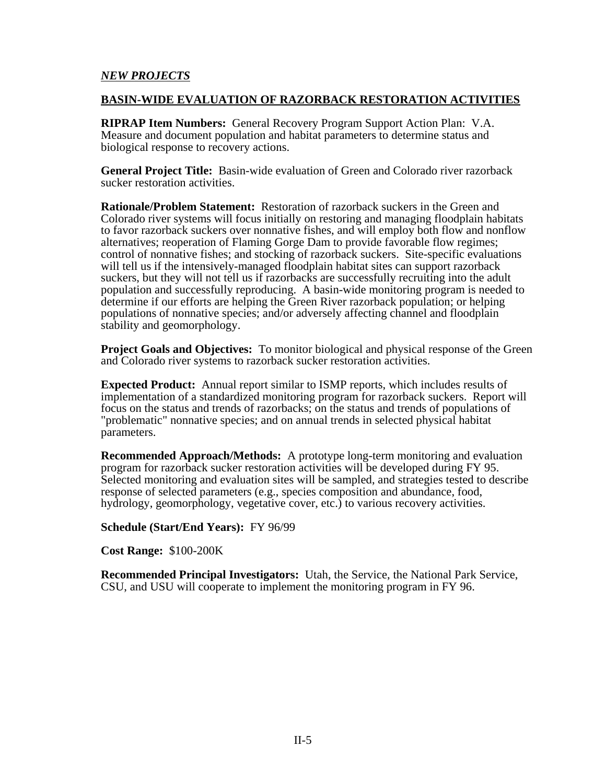## *NEW PROJECTS*

#### **BASIN-WIDE EVALUATION OF RAZORBACK RESTORATION ACTIVITIES**

**RIPRAP Item Numbers:** General Recovery Program Support Action Plan: V.A. Measure and document population and habitat parameters to determine status and biological response to recovery actions.

**General Project Title:** Basin-wide evaluation of Green and Colorado river razorback sucker restoration activities.

**Rationale/Problem Statement:** Restoration of razorback suckers in the Green and Colorado river systems will focus initially on restoring and managing floodplain habitats to favor razorback suckers over nonnative fishes, and will employ both flow and nonflow alternatives; reoperation of Flaming Gorge Dam to provide favorable flow regimes; control of nonnative fishes; and stocking of razorback suckers. Site-specific evaluations will tell us if the intensively-managed floodplain habitat sites can support razorback suckers, but they will not tell us if razorbacks are successfully recruiting into the adult population and successfully reproducing. A basin-wide monitoring program is needed to determine if our efforts are helping the Green River razorback population; or helping populations of nonnative species; and/or adversely affecting channel and floodplain stability and geomorphology.

**Project Goals and Objectives:** To monitor biological and physical response of the Green and Colorado river systems to razorback sucker restoration activities.

**Expected Product:** Annual report similar to ISMP reports, which includes results of implementation of a standardized monitoring program for razorback suckers. Report will focus on the status and trends of razorbacks; on the status and trends of populations of "problematic" nonnative species; and on annual trends in selected physical habitat parameters.

**Recommended Approach/Methods:** A prototype long-term monitoring and evaluation program for razorback sucker restoration activities will be developed during FY 95. Selected monitoring and evaluation sites will be sampled, and strategies tested to describe response of selected parameters (e.g., species composition and abundance, food, hydrology, geomorphology, vegetative cover, etc.) to various recovery activities.

**Schedule (Start/End Years):** FY 96/99

**Cost Range:** \$100-200K

**Recommended Principal Investigators:** Utah, the Service, the National Park Service, CSU, and USU will cooperate to implement the monitoring program in FY 96.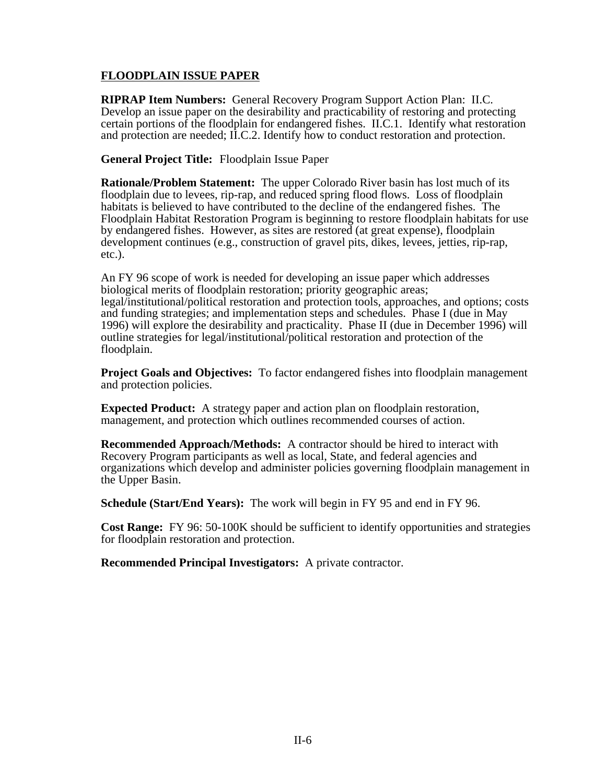# **FLOODPLAIN ISSUE PAPER**

**RIPRAP Item Numbers:** General Recovery Program Support Action Plan: II.C. Develop an issue paper on the desirability and practicability of restoring and protecting certain portions of the floodplain for endangered fishes. II.C.1. Identify what restoration and protection are needed; II.C.2. Identify how to conduct restoration and protection.

**General Project Title:** Floodplain Issue Paper

**Rationale/Problem Statement:** The upper Colorado River basin has lost much of its floodplain due to levees, rip-rap, and reduced spring flood flows. Loss of floodplain habitats is believed to have contributed to the decline of the endangered fishes. The Floodplain Habitat Restoration Program is beginning to restore floodplain habitats for use by endangered fishes. However, as sites are restored (at great expense), floodplain development continues (e.g., construction of gravel pits, dikes, levees, jetties, rip-rap, etc.).

An FY 96 scope of work is needed for developing an issue paper which addresses biological merits of floodplain restoration; priority geographic areas; legal/institutional/political restoration and protection tools, approaches, and options; costs and funding strategies; and implementation steps and schedules. Phase I (due in May 1996) will explore the desirability and practicality. Phase II (due in December 1996) will outline strategies for legal/institutional/political restoration and protection of the floodplain.

**Project Goals and Objectives:** To factor endangered fishes into floodplain management and protection policies.

**Expected Product:** A strategy paper and action plan on floodplain restoration, management, and protection which outlines recommended courses of action.

**Recommended Approach/Methods:** A contractor should be hired to interact with Recovery Program participants as well as local, State, and federal agencies and organizations which develop and administer policies governing floodplain management in the Upper Basin.

**Schedule (Start/End Years):** The work will begin in FY 95 and end in FY 96.

**Cost Range:** FY 96: 50-100K should be sufficient to identify opportunities and strategies for floodplain restoration and protection.

**Recommended Principal Investigators:** A private contractor.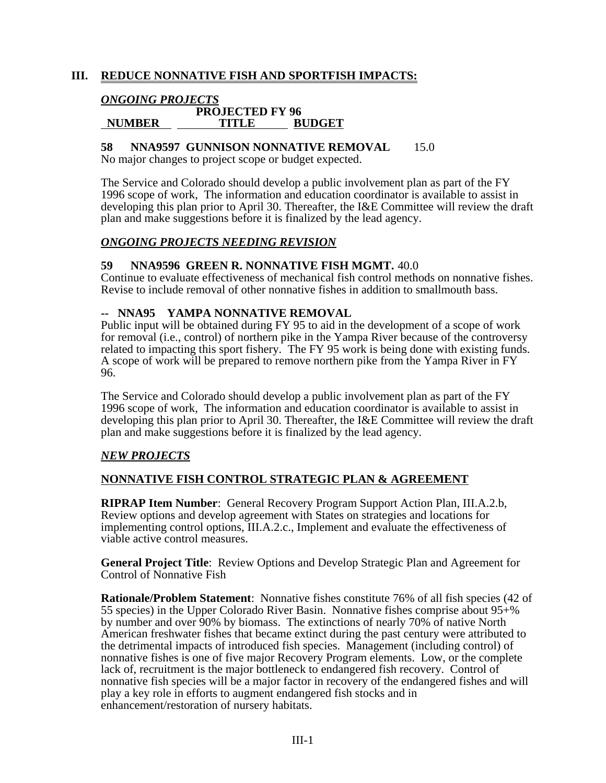# **III. REDUCE NONNATIVE FISH AND SPORTFISH IMPACTS:**

# *ONGOING PROJECTS*

#### **PROJECTED FY 96 NUMBER TITLE BUDGET**

## **58 NNA9597 GUNNISON NONNATIVE REMOVAL** 15.0

No major changes to project scope or budget expected.

The Service and Colorado should develop a public involvement plan as part of the FY 1996 scope of work, The information and education coordinator is available to assist in developing this plan prior to April 30. Thereafter, the I&E Committee will review the draft plan and make suggestions before it is finalized by the lead agency.

## *ONGOING PROJECTS NEEDING REVISION*

### **59 NNA9596 GREEN R. NONNATIVE FISH MGMT.** 40.0

Continue to evaluate effectiveness of mechanical fish control methods on nonnative fishes. Revise to include removal of other nonnative fishes in addition to smallmouth bass.

## **-- NNA95 YAMPA NONNATIVE REMOVAL**

Public input will be obtained during FY 95 to aid in the development of a scope of work for removal (i.e., control) of northern pike in the Yampa River because of the controversy related to impacting this sport fishery. The FY 95 work is being done with existing funds. A scope of work will be prepared to remove northern pike from the Yampa River in FY 96.

The Service and Colorado should develop a public involvement plan as part of the FY 1996 scope of work, The information and education coordinator is available to assist in developing this plan prior to April 30. Thereafter, the I&E Committee will review the draft plan and make suggestions before it is finalized by the lead agency.

## *NEW PROJECTS*

## **NONNATIVE FISH CONTROL STRATEGIC PLAN & AGREEMENT**

**RIPRAP Item Number**: General Recovery Program Support Action Plan, III.A.2.b, Review options and develop agreement with States on strategies and locations for implementing control options, III.A.2.c., Implement and evaluate the effectiveness of viable active control measures.

**General Project Title**: Review Options and Develop Strategic Plan and Agreement for Control of Nonnative Fish

**Rationale/Problem Statement**: Nonnative fishes constitute 76% of all fish species (42 of 55 species) in the Upper Colorado River Basin. Nonnative fishes comprise about 95+% by number and over 90% by biomass. The extinctions of nearly 70% of native North American freshwater fishes that became extinct during the past century were attributed to the detrimental impacts of introduced fish species. Management (including control) of nonnative fishes is one of five major Recovery Program elements. Low, or the complete lack of, recruitment is the major bottleneck to endangered fish recovery. Control of nonnative fish species will be a major factor in recovery of the endangered fishes and will play a key role in efforts to augment endangered fish stocks and in enhancement/restoration of nursery habitats.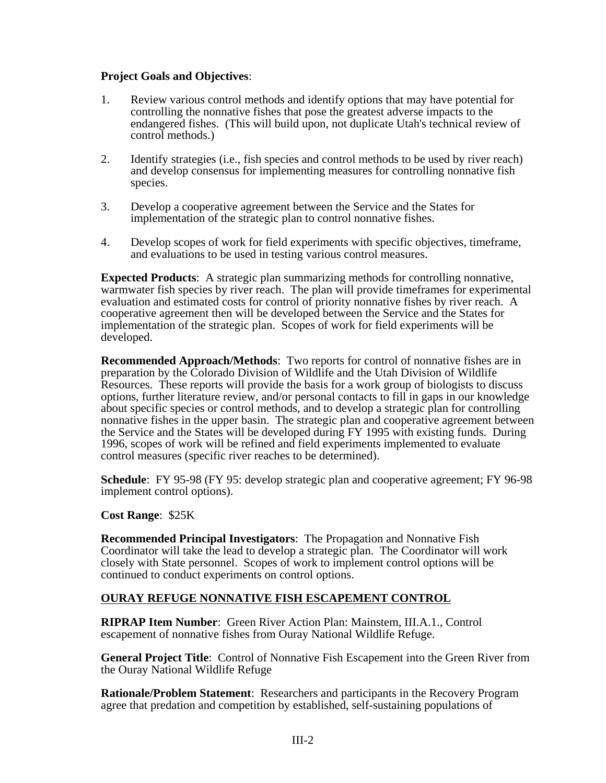## **Project Goals and Objectives**:

- 1. Review various control methods and identify options that may have potential for controlling the nonnative fishes that pose the greatest adverse impacts to the endangered fishes. (This will build upon, not duplicate Utah's technical review of control methods.)
- 2. Identify strategies (i.e., fish species and control methods to be used by river reach) and develop consensus for implementing measures for controlling nonnative fish species.
- 3. Develop a cooperative agreement between the Service and the States for implementation of the strategic plan to control nonnative fishes.
- 4. Develop scopes of work for field experiments with specific objectives, timeframe, and evaluations to be used in testing various control measures.

**Expected Products**: A strategic plan summarizing methods for controlling nonnative, warmwater fish species by river reach. The plan will provide timeframes for experimental evaluation and estimated costs for control of priority nonnative fishes by river reach. A cooperative agreement then will be developed between the Service and the States for implementation of the strategic plan. Scopes of work for field experiments will be developed.

**Recommended Approach/Methods**: Two reports for control of nonnative fishes are in preparation by the Colorado Division of Wildlife and the Utah Division of Wildlife Resources. These reports will provide the basis for a work group of biologists to discuss options, further literature review, and/or personal contacts to fill in gaps in our knowledge about specific species or control methods, and to develop a strategic plan for controlling nonnative fishes in the upper basin. The strategic plan and cooperative agreement between the Service and the States will be developed during FY 1995 with existing funds. During 1996, scopes of work will be refined and field experiments implemented to evaluate control measures (specific river reaches to be determined).

**Schedule**: FY 95-98 (FY 95: develop strategic plan and cooperative agreement; FY 96-98 implement control options).

#### **Cost Range**: \$25K

**Recommended Principal Investigators**: The Propagation and Nonnative Fish Coordinator will take the lead to develop a strategic plan. The Coordinator will work closely with State personnel. Scopes of work to implement control options will be continued to conduct experiments on control options.

## **OURAY REFUGE NONNATIVE FISH ESCAPEMENT CONTROL**

**RIPRAP Item Number**: Green River Action Plan: Mainstem, III.A.1., Control escapement of nonnative fishes from Ouray National Wildlife Refuge.

**General Project Title**: Control of Nonnative Fish Escapement into the Green River from the Ouray National Wildlife Refuge

**Rationale/Problem Statement**: Researchers and participants in the Recovery Program agree that predation and competition by established, self-sustaining populations of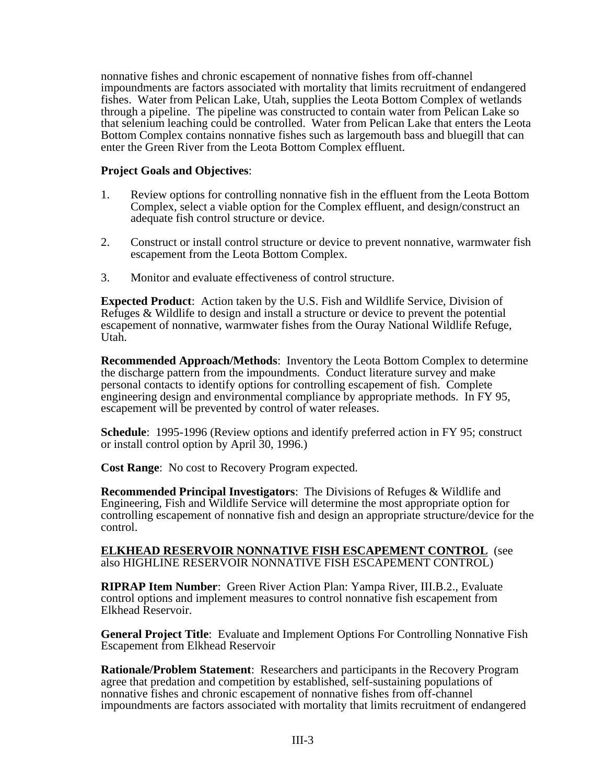nonnative fishes and chronic escapement of nonnative fishes from off-channel impoundments are factors associated with mortality that limits recruitment of endangered fishes. Water from Pelican Lake, Utah, supplies the Leota Bottom Complex of wetlands through a pipeline. The pipeline was constructed to contain water from Pelican Lake so that selenium leaching could be controlled. Water from Pelican Lake that enters the Leota Bottom Complex contains nonnative fishes such as largemouth bass and bluegill that can enter the Green River from the Leota Bottom Complex effluent.

### **Project Goals and Objectives**:

- 1. Review options for controlling nonnative fish in the effluent from the Leota Bottom Complex, select a viable option for the Complex effluent, and design/construct an adequate fish control structure or device.
- 2. Construct or install control structure or device to prevent nonnative, warmwater fish escapement from the Leota Bottom Complex.
- 3. Monitor and evaluate effectiveness of control structure.

**Expected Product**: Action taken by the U.S. Fish and Wildlife Service, Division of Refuges & Wildlife to design and install a structure or device to prevent the potential escapement of nonnative, warmwater fishes from the Ouray National Wildlife Refuge, Utah.

**Recommended Approach/Methods**: Inventory the Leota Bottom Complex to determine the discharge pattern from the impoundments. Conduct literature survey and make personal contacts to identify options for controlling escapement of fish. Complete engineering design and environmental compliance by appropriate methods. In FY 95, escapement will be prevented by control of water releases.

**Schedule**: 1995-1996 (Review options and identify preferred action in FY 95; construct or install control option by April 30, 1996.)

**Cost Range**: No cost to Recovery Program expected.

**Recommended Principal Investigators**: The Divisions of Refuges & Wildlife and Engineering, Fish and Wildlife Service will determine the most appropriate option for controlling escapement of nonnative fish and design an appropriate structure/device for the control.

**ELKHEAD RESERVOIR NONNATIVE FISH ESCAPEMENT CONTROL** (see also HIGHLINE RESERVOIR NONNATIVE FISH ESCAPEMENT CONTROL)

**RIPRAP Item Number**: Green River Action Plan: Yampa River, III.B.2., Evaluate control options and implement measures to control nonnative fish escapement from Elkhead Reservoir.

**General Project Title**: Evaluate and Implement Options For Controlling Nonnative Fish Escapement from Elkhead Reservoir

**Rationale/Problem Statement**: Researchers and participants in the Recovery Program agree that predation and competition by established, self-sustaining populations of nonnative fishes and chronic escapement of nonnative fishes from off-channel impoundments are factors associated with mortality that limits recruitment of endangered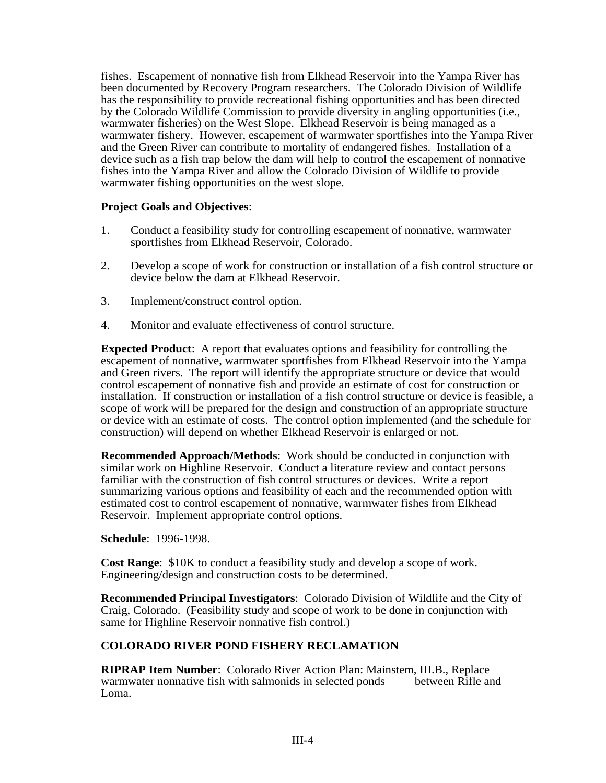fishes. Escapement of nonnative fish from Elkhead Reservoir into the Yampa River has been documented by Recovery Program researchers. The Colorado Division of Wildlife has the responsibility to provide recreational fishing opportunities and has been directed by the Colorado Wildlife Commission to provide diversity in angling opportunities (i.e., warmwater fisheries) on the West Slope. Elkhead Reservoir is being managed as a warmwater fishery. However, escapement of warmwater sportfishes into the Yampa River and the Green River can contribute to mortality of endangered fishes. Installation of a device such as a fish trap below the dam will help to control the escapement of nonnative fishes into the Yampa River and allow the Colorado Division of Wildlife to provide warmwater fishing opportunities on the west slope.

## **Project Goals and Objectives**:

- 1. Conduct a feasibility study for controlling escapement of nonnative, warmwater sportfishes from Elkhead Reservoir, Colorado.
- 2. Develop a scope of work for construction or installation of a fish control structure or device below the dam at Elkhead Reservoir.
- 3. Implement/construct control option.
- 4. Monitor and evaluate effectiveness of control structure.

**Expected Product**: A report that evaluates options and feasibility for controlling the escapement of nonnative, warmwater sportfishes from Elkhead Reservoir into the Yampa and Green rivers. The report will identify the appropriate structure or device that would control escapement of nonnative fish and provide an estimate of cost for construction or installation. If construction or installation of a fish control structure or device is feasible, a scope of work will be prepared for the design and construction of an appropriate structure or device with an estimate of costs. The control option implemented (and the schedule for construction) will depend on whether Elkhead Reservoir is enlarged or not.

**Recommended Approach/Methods**: Work should be conducted in conjunction with similar work on Highline Reservoir. Conduct a literature review and contact persons familiar with the construction of fish control structures or devices. Write a report summarizing various options and feasibility of each and the recommended option with estimated cost to control escapement of nonnative, warmwater fishes from Elkhead Reservoir. Implement appropriate control options.

**Schedule**: 1996-1998.

**Cost Range**: \$10K to conduct a feasibility study and develop a scope of work. Engineering/design and construction costs to be determined.

**Recommended Principal Investigators**: Colorado Division of Wildlife and the City of Craig, Colorado. (Feasibility study and scope of work to be done in conjunction with same for Highline Reservoir nonnative fish control.)

## **COLORADO RIVER POND FISHERY RECLAMATION**

**RIPRAP Item Number**: Colorado River Action Plan: Mainstem, III.B., Replace warmwater nonnative fish with salmonids in selected ponds between Rifle and Loma.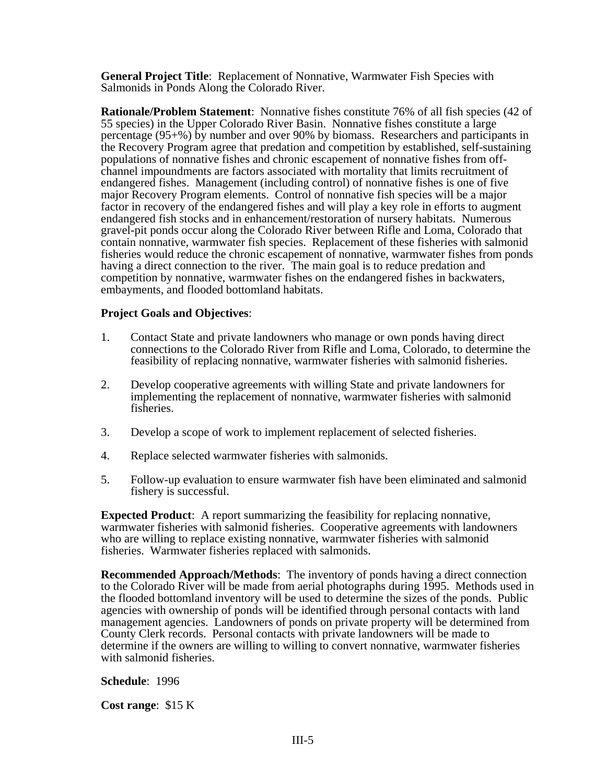**General Project Title**: Replacement of Nonnative, Warmwater Fish Species with Salmonids in Ponds Along the Colorado River.

**Rationale/Problem Statement**: Nonnative fishes constitute 76% of all fish species (42 of 55 species) in the Upper Colorado River Basin. Nonnative fishes constitute a large percentage (95+%) by number and over 90% by biomass. Researchers and participants in the Recovery Program agree that predation and competition by established, self-sustaining populations of nonnative fishes and chronic escapement of nonnative fishes from offchannel impoundments are factors associated with mortality that limits recruitment of endangered fishes. Management (including control) of nonnative fishes is one of five major Recovery Program elements. Control of nonnative fish species will be a major factor in recovery of the endangered fishes and will play a key role in efforts to augment endangered fish stocks and in enhancement/restoration of nursery habitats. Numerous gravel-pit ponds occur along the Colorado River between Rifle and Loma, Colorado that contain nonnative, warmwater fish species. Replacement of these fisheries with salmonid fisheries would reduce the chronic escapement of nonnative, warmwater fishes from ponds having a direct connection to the river. The main goal is to reduce predation and competition by nonnative, warmwater fishes on the endangered fishes in backwaters, embayments, and flooded bottomland habitats.

### **Project Goals and Objectives**:

- 1. Contact State and private landowners who manage or own ponds having direct connections to the Colorado River from Rifle and Loma, Colorado, to determine the feasibility of replacing nonnative, warmwater fisheries with salmonid fisheries.
- 2. Develop cooperative agreements with willing State and private landowners for implementing the replacement of nonnative, warmwater fisheries with salmonid fisheries.
- 3. Develop a scope of work to implement replacement of selected fisheries.
- 4. Replace selected warmwater fisheries with salmonids.
- 5. Follow-up evaluation to ensure warmwater fish have been eliminated and salmonid fishery is successful.

**Expected Product**: A report summarizing the feasibility for replacing nonnative, warmwater fisheries with salmonid fisheries. Cooperative agreements with landowners who are willing to replace existing nonnative, warmwater fisheries with salmonid fisheries. Warmwater fisheries replaced with salmonids.

**Recommended Approach/Methods**: The inventory of ponds having a direct connection to the Colorado River will be made from aerial photographs during 1995. Methods used in the flooded bottomland inventory will be used to determine the sizes of the ponds. Public agencies with ownership of ponds will be identified through personal contacts with land management agencies. Landowners of ponds on private property will be determined from County Clerk records. Personal contacts with private landowners will be made to determine if the owners are willing to willing to convert nonnative, warmwater fisheries with salmonid fisheries.

**Schedule**: 1996

**Cost range**: \$15 K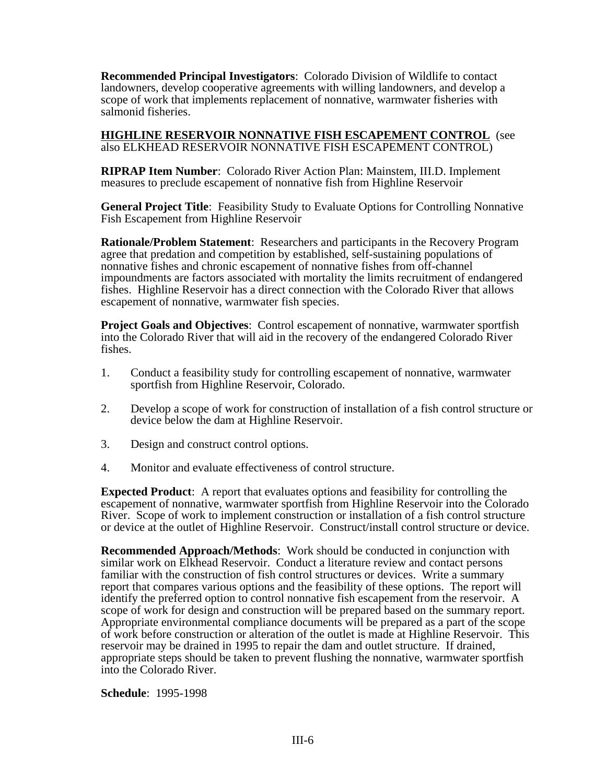**Recommended Principal Investigators**: Colorado Division of Wildlife to contact landowners, develop cooperative agreements with willing landowners, and develop a scope of work that implements replacement of nonnative, warmwater fisheries with salmonid fisheries.

**HIGHLINE RESERVOIR NONNATIVE FISH ESCAPEMENT CONTROL** (see also ELKHEAD RESERVOIR NONNATIVE FISH ESCAPEMENT CONTROL)

**RIPRAP Item Number**: Colorado River Action Plan: Mainstem, III.D. Implement measures to preclude escapement of nonnative fish from Highline Reservoir

**General Project Title**: Feasibility Study to Evaluate Options for Controlling Nonnative Fish Escapement from Highline Reservoir

**Rationale/Problem Statement**: Researchers and participants in the Recovery Program agree that predation and competition by established, self-sustaining populations of nonnative fishes and chronic escapement of nonnative fishes from off-channel impoundments are factors associated with mortality the limits recruitment of endangered fishes. Highline Reservoir has a direct connection with the Colorado River that allows escapement of nonnative, warmwater fish species.

**Project Goals and Objectives**: Control escapement of nonnative, warmwater sportfish into the Colorado River that will aid in the recovery of the endangered Colorado River fishes.

- 1. Conduct a feasibility study for controlling escapement of nonnative, warmwater sportfish from Highline Reservoir, Colorado.
- 2. Develop a scope of work for construction of installation of a fish control structure or device below the dam at Highline Reservoir.
- 3. Design and construct control options.
- 4. Monitor and evaluate effectiveness of control structure.

**Expected Product**: A report that evaluates options and feasibility for controlling the escapement of nonnative, warmwater sportfish from Highline Reservoir into the Colorado River. Scope of work to implement construction or installation of a fish control structure or device at the outlet of Highline Reservoir. Construct/install control structure or device.

**Recommended Approach/Methods**: Work should be conducted in conjunction with similar work on Elkhead Reservoir. Conduct a literature review and contact persons familiar with the construction of fish control structures or devices. Write a summary report that compares various options and the feasibility of these options. The report will identify the preferred option to control nonnative fish escapement from the reservoir. A scope of work for design and construction will be prepared based on the summary report. Appropriate environmental compliance documents will be prepared as a part of the scope of work before construction or alteration of the outlet is made at Highline Reservoir. This reservoir may be drained in 1995 to repair the dam and outlet structure. If drained, appropriate steps should be taken to prevent flushing the nonnative, warmwater sportfish into the Colorado River.

**Schedule**: 1995-1998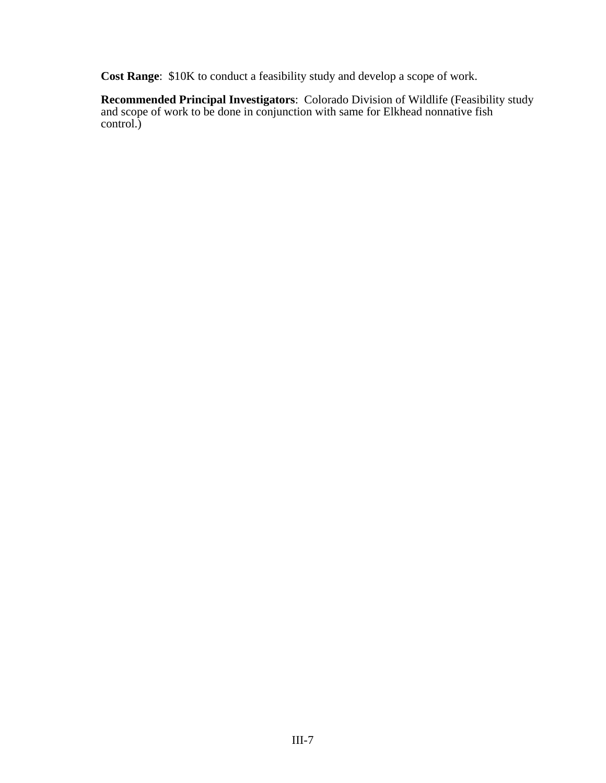**Cost Range**: \$10K to conduct a feasibility study and develop a scope of work.

**Recommended Principal Investigators**: Colorado Division of Wildlife (Feasibility study and scope of work to be done in conjunction with same for Elkhead nonnative fish control.)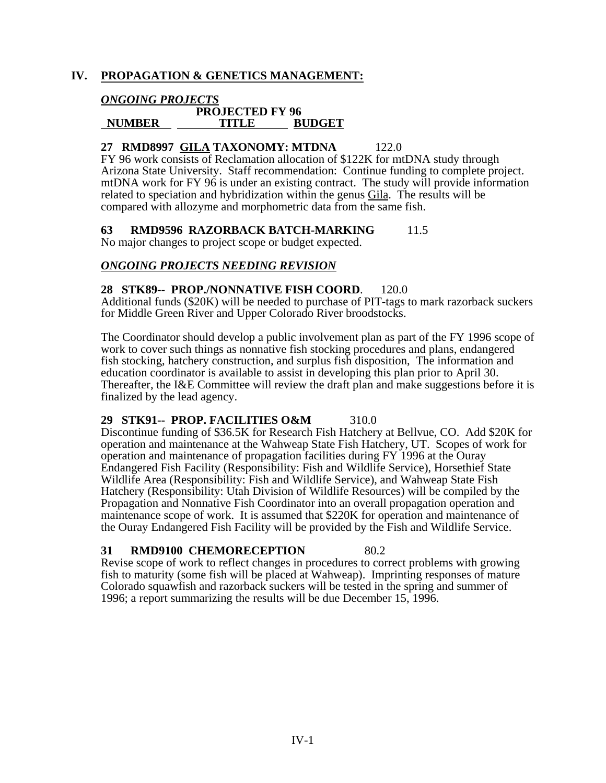# **IV. PROPAGATION & GENETICS MANAGEMENT:**

## *ONGOING PROJECTS*

#### **PROJECTED FY 96 NUMBER TITLE BUDGET**

## **27 RMD8997 GILA TAXONOMY: MTDNA** 122.0

FY 96 work consists of Reclamation allocation of \$122K for mtDNA study through Arizona State University. Staff recommendation: Continue funding to complete project. mtDNA work for FY 96 is under an existing contract. The study will provide information related to speciation and hybridization within the genus Gila. The results will be compared with allozyme and morphometric data from the same fish.

## **63 RMD9596 RAZORBACK BATCH-MARKING** 11.5

No major changes to project scope or budget expected.

## *ONGOING PROJECTS NEEDING REVISION*

### **28 STK89-- PROP./NONNATIVE FISH COORD**. 120.0

Additional funds (\$20K) will be needed to purchase of PIT-tags to mark razorback suckers for Middle Green River and Upper Colorado River broodstocks.

The Coordinator should develop a public involvement plan as part of the FY 1996 scope of work to cover such things as nonnative fish stocking procedures and plans, endangered fish stocking, hatchery construction, and surplus fish disposition, The information and education coordinator is available to assist in developing this plan prior to April 30. Thereafter, the I&E Committee will review the draft plan and make suggestions before it is finalized by the lead agency.

## **29 STK91-- PROP. FACILITIES O&M** 310.0

Discontinue funding of \$36.5K for Research Fish Hatchery at Bellvue, CO. Add \$20K for operation and maintenance at the Wahweap State Fish Hatchery, UT. Scopes of work for operation and maintenance of propagation facilities during FY 1996 at the Ouray Endangered Fish Facility (Responsibility: Fish and Wildlife Service), Horsethief State Wildlife Area (Responsibility: Fish and Wildlife Service), and Wahweap State Fish Hatchery (Responsibility: Utah Division of Wildlife Resources) will be compiled by the Propagation and Nonnative Fish Coordinator into an overall propagation operation and maintenance scope of work. It is assumed that \$220K for operation and maintenance of the Ouray Endangered Fish Facility will be provided by the Fish and Wildlife Service.

#### **31 RMD9100 CHEMORECEPTION** 80.2

Revise scope of work to reflect changes in procedures to correct problems with growing fish to maturity (some fish will be placed at Wahweap). Imprinting responses of mature Colorado squawfish and razorback suckers will be tested in the spring and summer of 1996; a report summarizing the results will be due December 15, 1996.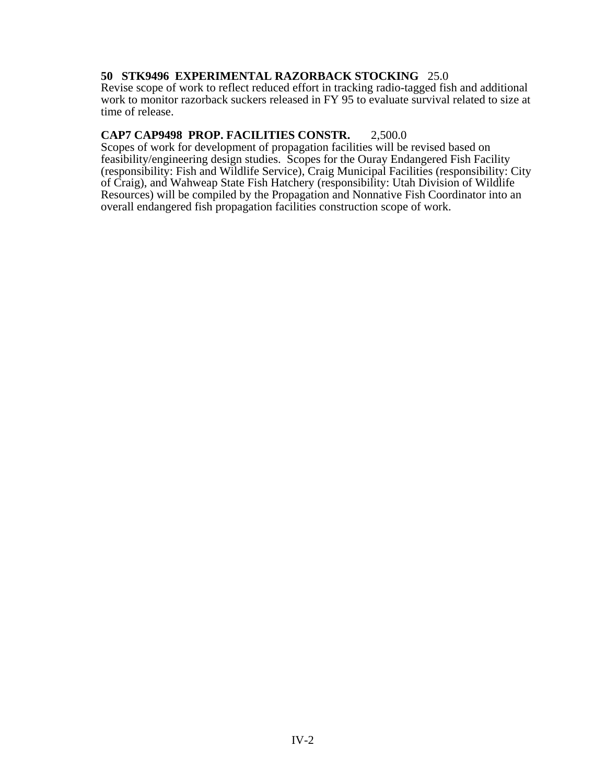# **50 STK9496 EXPERIMENTAL RAZORBACK STOCKING** 25.0

Revise scope of work to reflect reduced effort in tracking radio-tagged fish and additional work to monitor razorback suckers released in FY 95 to evaluate survival related to size at time of release.

# **CAP7 CAP9498 PROP. FACILITIES CONSTR.** 2,500.0

Scopes of work for development of propagation facilities will be revised based on feasibility/engineering design studies. Scopes for the Ouray Endangered Fish Facility (responsibility: Fish and Wildlife Service), Craig Municipal Facilities (responsibility: City of Craig), and Wahweap State Fish Hatchery (responsibility: Utah Division of Wildlife Resources) will be compiled by the Propagation and Nonnative Fish Coordinator into an overall endangered fish propagation facilities construction scope of work.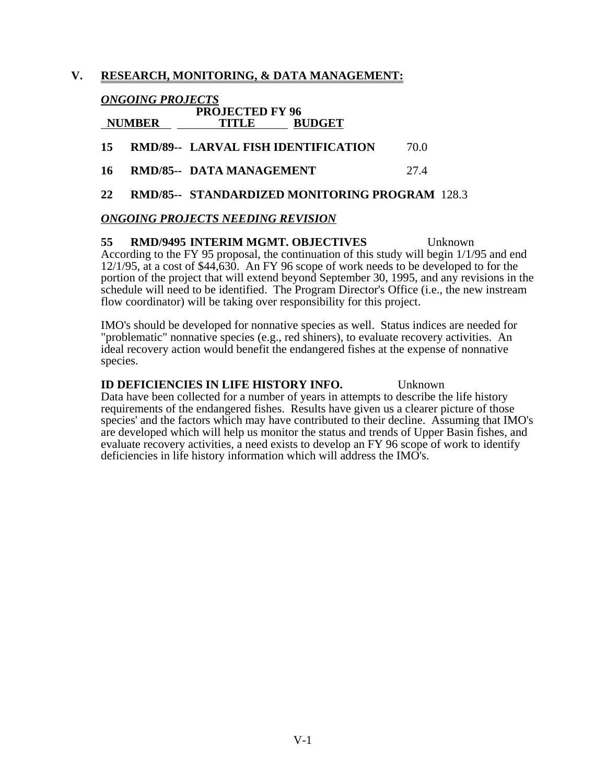# **V. RESEARCH, MONITORING, & DATA MANAGEMENT:**

# *ONGOING PROJECTS*

| <b>NUMBER</b> | <b>PROJECTED FY 96</b><br>TITLE            | <b>BUDGET</b> |      |
|---------------|--------------------------------------------|---------------|------|
| 15.           | <b>RMD/89-- LARVAL FISH IDENTIFICATION</b> |               | 70.O |
| 16.           | <b>RMD/85-- DATA MANAGEMENT</b>            |               | 27.4 |
|               |                                            |               |      |

**22 RMD/85-- STANDARDIZED MONITORING PROGRAM** 128.3

# *ONGOING PROJECTS NEEDING REVISION*

**55 RMD/9495 INTERIM MGMT. OBJECTIVES** Unknown According to the FY 95 proposal, the continuation of this study will begin 1/1/95 and end 12/1/95, at a cost of \$44,630. An FY 96 scope of work needs to be developed to for the portion of the project that will extend beyond September 30, 1995, and any revisions in the schedule will need to be identified. The Program Director's Office (i.e., the new instream flow coordinator) will be taking over responsibility for this project.

IMO's should be developed for nonnative species as well. Status indices are needed for "problematic" nonnative species (e.g., red shiners), to evaluate recovery activities. An ideal recovery action would benefit the endangered fishes at the expense of nonnative species.

### **ID DEFICIENCIES IN LIFE HISTORY INFO.** Unknown

Data have been collected for a number of years in attempts to describe the life history requirements of the endangered fishes. Results have given us a clearer picture of those species' and the factors which may have contributed to their decline. Assuming that IMO's are developed which will help us monitor the status and trends of Upper Basin fishes, and evaluate recovery activities, a need exists to develop an FY 96 scope of work to identify deficiencies in life history information which will address the IMO's.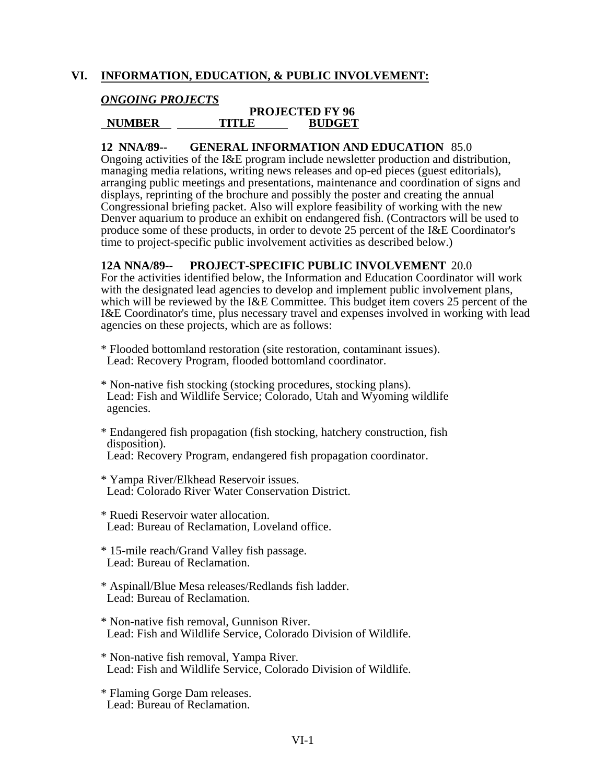# **VI. INFORMATION, EDUCATION, & PUBLIC INVOLVEMENT:**

## *ONGOING PROJECTS*

#### **PROJECTED FY 96<br>TITLE BUDGET NUMBER TITLE BUDGET**

## **12 NNA/89-- GENERAL INFORMATION AND EDUCATION** 85.0

Ongoing activities of the I&E program include newsletter production and distribution, managing media relations, writing news releases and op-ed pieces (guest editorials), arranging public meetings and presentations, maintenance and coordination of signs and displays, reprinting of the brochure and possibly the poster and creating the annual Congressional briefing packet. Also will explore feasibility of working with the new Denver aquarium to produce an exhibit on endangered fish. (Contractors will be used to produce some of these products, in order to devote 25 percent of the I&E Coordinator's time to project-specific public involvement activities as described below.)

#### **12A NNA/89-- PROJECT-SPECIFIC PUBLIC INVOLVEMENT** 20.0

For the activities identified below, the Information and Education Coordinator will work with the designated lead agencies to develop and implement public involvement plans, which will be reviewed by the I&E Committee. This budget item covers 25 percent of the I&E Coordinator's time, plus necessary travel and expenses involved in working with lead agencies on these projects, which are as follows:

\* Flooded bottomland restoration (site restoration, contaminant issues). Lead: Recovery Program, flooded bottomland coordinator.

- \* Non-native fish stocking (stocking procedures, stocking plans). Lead: Fish and Wildlife Service; Colorado, Utah and Wyoming wildlife agencies.
- \* Endangered fish propagation (fish stocking, hatchery construction, fish disposition).

Lead: Recovery Program, endangered fish propagation coordinator.

- \* Yampa River/Elkhead Reservoir issues. Lead: Colorado River Water Conservation District.
- \* Ruedi Reservoir water allocation. Lead: Bureau of Reclamation, Loveland office.
- \* 15-mile reach/Grand Valley fish passage. Lead: Bureau of Reclamation.
- \* Aspinall/Blue Mesa releases/Redlands fish ladder. Lead: Bureau of Reclamation.
- \* Non-native fish removal, Gunnison River. Lead: Fish and Wildlife Service, Colorado Division of Wildlife.
- \* Non-native fish removal, Yampa River. Lead: Fish and Wildlife Service, Colorado Division of Wildlife.
- \* Flaming Gorge Dam releases. Lead: Bureau of Reclamation.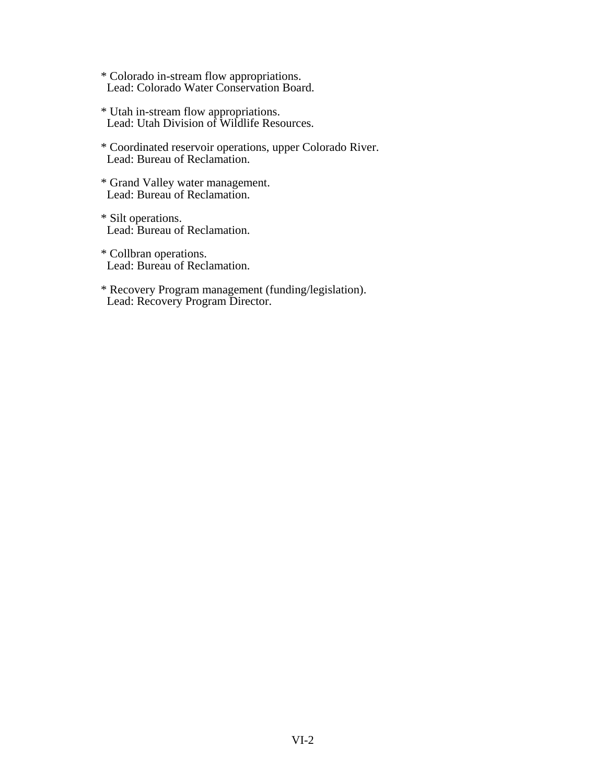\* Colorado in-stream flow appropriations. Lead: Colorado Water Conservation Board.

- \* Utah in-stream flow appropriations. Lead: Utah Division of Wildlife Resources.
- \* Coordinated reservoir operations, upper Colorado River. Lead: Bureau of Reclamation.
- \* Grand Valley water management. Lead: Bureau of Reclamation.
- \* Silt operations. Lead: Bureau of Reclamation.
- \* Collbran operations. Lead: Bureau of Reclamation.
- \* Recovery Program management (funding/legislation). Lead: Recovery Program Director.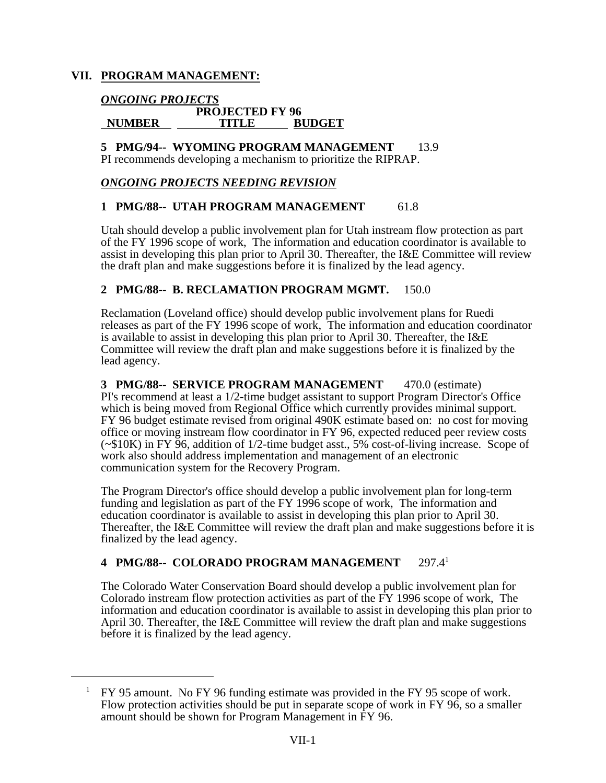# **VII. PROGRAM MANAGEMENT:**

#### *ONGOING PROJECTS*  **PROJECTED FY 96 NUMBER TITLE BUDGET**

# **5 PMG/94-- WYOMING PROGRAM MANAGEMENT** 13.9

PI recommends developing a mechanism to prioritize the RIPRAP.

# *ONGOING PROJECTS NEEDING REVISION*

# **1 PMG/88-- UTAH PROGRAM MANAGEMENT** 61.8

Utah should develop a public involvement plan for Utah instream flow protection as part of the FY 1996 scope of work, The information and education coordinator is available to assist in developing this plan prior to April 30. Thereafter, the I&E Committee will review the draft plan and make suggestions before it is finalized by the lead agency.

# **2 PMG/88-- B. RECLAMATION PROGRAM MGMT.** 150.0

Reclamation (Loveland office) should develop public involvement plans for Ruedi releases as part of the FY 1996 scope of work, The information and education coordinator is available to assist in developing this plan prior to April 30. Thereafter, the I&E Committee will review the draft plan and make suggestions before it is finalized by the lead agency.

**3 PMG/88-- SERVICE PROGRAM MANAGEMENT** 470.0 (estimate) PI's recommend at least a 1/2-time budget assistant to support Program Director's Office which is being moved from Regional Office which currently provides minimal support. FY 96 budget estimate revised from original 490K estimate based on: no cost for moving office or moving instream flow coordinator in FY 96, expected reduced peer review costs (~\$10K) in FY 96, addition of 1/2-time budget asst., 5% cost-of-living increase. Scope of work also should address implementation and management of an electronic communication system for the Recovery Program.

The Program Director's office should develop a public involvement plan for long-term funding and legislation as part of the FY 1996 scope of work, The information and education coordinator is available to assist in developing this plan prior to April 30. Thereafter, the I&E Committee will review the draft plan and make suggestions before it is finalized by the lead agency.

# **4 PMG/88-- COLORADO PROGRAM MANAGEMENT** 297.41

The Colorado Water Conservation Board should develop a public involvement plan for Colorado instream flow protection activities as part of the FY 1996 scope of work, The information and education coordinator is available to assist in developing this plan prior to April 30. Thereafter, the I&E Committee will review the draft plan and make suggestions before it is finalized by the lead agency.

 <sup>1</sup> FY 95 amount. No FY 96 funding estimate was provided in the FY 95 scope of work. Flow protection activities should be put in separate scope of work in FY 96, so a smaller amount should be shown for Program Management in FY 96.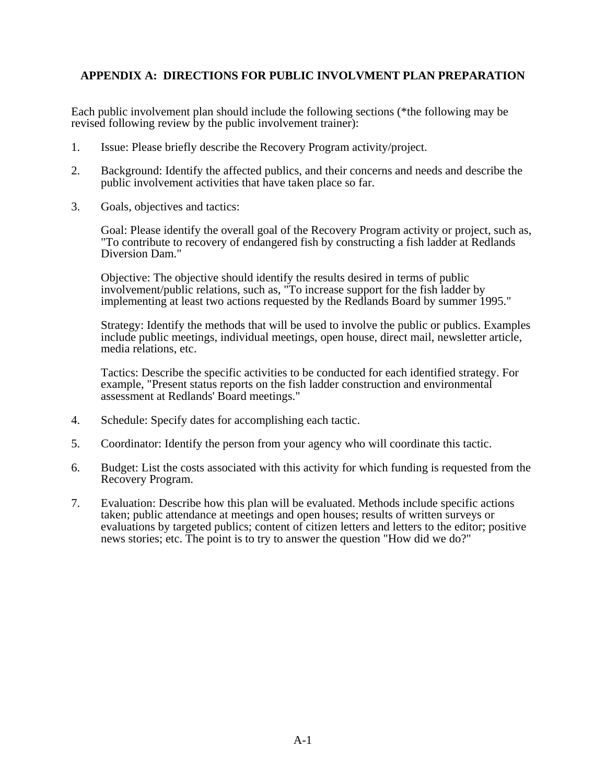# **APPENDIX A: DIRECTIONS FOR PUBLIC INVOLVMENT PLAN PREPARATION**

Each public involvement plan should include the following sections (\*the following may be revised following review by the public involvement trainer):

- 1. Issue: Please briefly describe the Recovery Program activity/project.
- 2. Background: Identify the affected publics, and their concerns and needs and describe the public involvement activities that have taken place so far.
- 3. Goals, objectives and tactics:

Goal: Please identify the overall goal of the Recovery Program activity or project, such as, "To contribute to recovery of endangered fish by constructing a fish ladder at Redlands Diversion Dam."

Objective: The objective should identify the results desired in terms of public involvement/public relations, such as, "To increase support for the fish ladder by implementing at least two actions requested by the Redlands Board by summer 1995."

Strategy: Identify the methods that will be used to involve the public or publics. Examples include public meetings, individual meetings, open house, direct mail, newsletter article, media relations, etc.

Tactics: Describe the specific activities to be conducted for each identified strategy. For example, "Present status reports on the fish ladder construction and environmental assessment at Redlands' Board meetings."

- 4. Schedule: Specify dates for accomplishing each tactic.
- 5. Coordinator: Identify the person from your agency who will coordinate this tactic.
- 6. Budget: List the costs associated with this activity for which funding is requested from the Recovery Program.
- 7. Evaluation: Describe how this plan will be evaluated. Methods include specific actions taken; public attendance at meetings and open houses; results of written surveys or evaluations by targeted publics; content of citizen letters and letters to the editor; positive news stories; etc. The point is to try to answer the question "How did we do?"